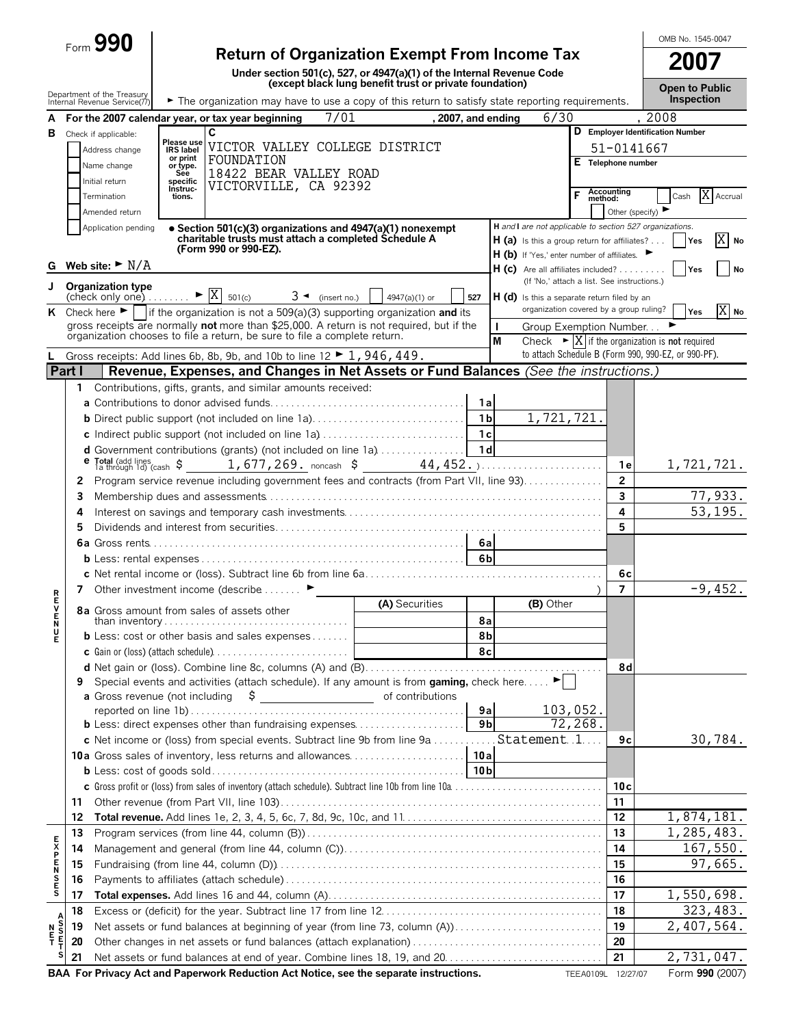| -orm | محمد | U. |  |
|------|------|----|--|
|      |      |    |  |

# Form **990 Return of Organization Exempt From Income Tax**

**Under section 501(c), 527, or 4947(a)(1) of the Internal Revenue Code (except black lung benefit trust or private foundation)**

OMB No. 1545-0047

**2007**

|                    |              | Department of the Treasury                                         |                       |                                                                                                                                                                                  |                                                                                                                                                                                                                                                                                                                     | (except black lung benefit trust or private foundation) |                    |                |              |                                             |          |                                  | <b>Open to Public</b><br><b>Inspection</b>                                                                                  |                         |
|--------------------|--------------|--------------------------------------------------------------------|-----------------------|----------------------------------------------------------------------------------------------------------------------------------------------------------------------------------|---------------------------------------------------------------------------------------------------------------------------------------------------------------------------------------------------------------------------------------------------------------------------------------------------------------------|---------------------------------------------------------|--------------------|----------------|--------------|---------------------------------------------|----------|----------------------------------|-----------------------------------------------------------------------------------------------------------------------------|-------------------------|
|                    |              | Internal Revenue Service(77)                                       |                       | The organization may have to use a copy of this return to satisfy state reporting requirements.                                                                                  |                                                                                                                                                                                                                                                                                                                     |                                                         |                    |                |              |                                             |          |                                  |                                                                                                                             |                         |
| A                  |              |                                                                    |                       | For the 2007 calendar year, or tax year beginning<br>C                                                                                                                           | 7/01                                                                                                                                                                                                                                                                                                                |                                                         | , 2007, and ending |                |              | 6/30                                        |          |                                  | .2008<br>D Employer Identification Number                                                                                   |                         |
| В                  |              | Check if applicable:                                               | Please use            | VICTOR VALLEY COLLEGE DISTRICT                                                                                                                                                   |                                                                                                                                                                                                                                                                                                                     |                                                         |                    |                |              |                                             |          |                                  |                                                                                                                             |                         |
|                    |              | Address change                                                     | IRS label<br>or print | FOUNDATION                                                                                                                                                                       |                                                                                                                                                                                                                                                                                                                     |                                                         |                    |                |              |                                             |          | 51-0141667<br>E Telephone number |                                                                                                                             |                         |
|                    |              | Name change                                                        | or type.<br>See       | 18422 BEAR VALLEY ROAD                                                                                                                                                           |                                                                                                                                                                                                                                                                                                                     |                                                         |                    |                |              |                                             |          |                                  |                                                                                                                             |                         |
|                    |              | Initial return                                                     | specific<br>Instruc-  | VICTORVILLE, CA 92392                                                                                                                                                            |                                                                                                                                                                                                                                                                                                                     |                                                         |                    |                |              |                                             | F        | Accounting<br>method:            |                                                                                                                             | X Accrual               |
|                    |              | Termination                                                        | tions.                |                                                                                                                                                                                  |                                                                                                                                                                                                                                                                                                                     |                                                         |                    |                |              |                                             |          |                                  | Cash                                                                                                                        |                         |
|                    |              | Amended return                                                     |                       |                                                                                                                                                                                  |                                                                                                                                                                                                                                                                                                                     |                                                         |                    |                |              |                                             |          | Other (specify)                  | H and I are not applicable to section 527 organizations.                                                                    |                         |
|                    |              | Application pending                                                |                       | • Section 501(c)(3) organizations and 4947(a)(1) nonexempt<br>charitable trusts must attach a completed Schedule A                                                               |                                                                                                                                                                                                                                                                                                                     |                                                         |                    |                |              |                                             |          |                                  | $H(a)$ is this a group return for affiliates? $\vert$ Yes                                                                   | X<br>No                 |
|                    |              |                                                                    |                       | (Form 990 or 990-EZ).                                                                                                                                                            |                                                                                                                                                                                                                                                                                                                     |                                                         |                    |                |              | H (b) If 'Yes,' enter number of affiliates. |          |                                  |                                                                                                                             |                         |
| G                  |              | Web site: $\blacktriangleright$ $\text{N/A}$                       |                       |                                                                                                                                                                                  |                                                                                                                                                                                                                                                                                                                     |                                                         |                    |                |              | $H (c)$ Are all affiliates included?        |          |                                  | <b>Yes</b>                                                                                                                  | No                      |
| J                  |              | <b>Organization type</b>                                           |                       |                                                                                                                                                                                  |                                                                                                                                                                                                                                                                                                                     |                                                         |                    |                |              | (If 'No,' attach a list. See instructions.) |          |                                  |                                                                                                                             |                         |
|                    |              | check only one) $\ldots$ $\blacktriangleright \overline{X}$ 501(c) |                       |                                                                                                                                                                                  | $3 \blacktriangleleft$ (insert no.)                                                                                                                                                                                                                                                                                 | 4947(a)(1) or                                           |                    | 527            |              | H (d) is this a separate return filed by an |          |                                  |                                                                                                                             |                         |
|                    |              |                                                                    |                       | K Check here $\blacktriangleright$   if the organization is not a 509(a)(3) supporting organization and its                                                                      |                                                                                                                                                                                                                                                                                                                     |                                                         |                    |                |              | organization covered by a group ruling?     |          |                                  | Yes                                                                                                                         | $X$ No                  |
|                    |              |                                                                    |                       | gross receipts are normally not more than \$25,000. A return is not required, but if the<br>organization chooses to file a return, be sure to file a complete return.            |                                                                                                                                                                                                                                                                                                                     |                                                         |                    |                | $\mathbf{I}$ | Group Exemption Number                      |          |                                  |                                                                                                                             |                         |
|                    |              |                                                                    |                       |                                                                                                                                                                                  |                                                                                                                                                                                                                                                                                                                     |                                                         |                    |                | M            |                                             |          |                                  | Check $\triangleright$ $\vert$ X if the organization is not required<br>to attach Schedule B (Form 990, 990-EZ, or 990-PF). |                         |
| L                  | Part I       |                                                                    |                       | Gross receipts: Add lines 6b, 8b, 9b, and 10b to line $12 \triangleright 1$ , 946, 449.<br>Revenue, Expenses, and Changes in Net Assets or Fund Balances (See the instructions.) |                                                                                                                                                                                                                                                                                                                     |                                                         |                    |                |              |                                             |          |                                  |                                                                                                                             |                         |
|                    |              |                                                                    |                       |                                                                                                                                                                                  |                                                                                                                                                                                                                                                                                                                     |                                                         |                    |                |              |                                             |          |                                  |                                                                                                                             |                         |
|                    | $\mathbf{1}$ |                                                                    |                       | Contributions, gifts, grants, and similar amounts received:                                                                                                                      |                                                                                                                                                                                                                                                                                                                     |                                                         |                    | 1a             |              |                                             |          |                                  |                                                                                                                             |                         |
|                    |              |                                                                    |                       |                                                                                                                                                                                  |                                                                                                                                                                                                                                                                                                                     |                                                         |                    | 1 <sub>b</sub> |              | 1,721,721.                                  |          |                                  |                                                                                                                             |                         |
|                    |              |                                                                    |                       |                                                                                                                                                                                  |                                                                                                                                                                                                                                                                                                                     |                                                         |                    |                |              |                                             |          |                                  |                                                                                                                             |                         |
|                    |              |                                                                    |                       | c Indirect public support (not included on line 1a)                                                                                                                              |                                                                                                                                                                                                                                                                                                                     |                                                         |                    | 1c             |              |                                             |          |                                  |                                                                                                                             |                         |
|                    |              |                                                                    |                       | d Government contributions (grants) (not included on line 1a)   1d                                                                                                               |                                                                                                                                                                                                                                                                                                                     |                                                         |                    |                |              |                                             |          |                                  | 1,721,721.                                                                                                                  |                         |
|                    | 2            |                                                                    |                       | Program service revenue including government fees and contracts (from Part VII, line 93)                                                                                         |                                                                                                                                                                                                                                                                                                                     |                                                         |                    |                |              |                                             |          | 1 e<br>$\overline{2}$            |                                                                                                                             |                         |
|                    | 3            |                                                                    |                       |                                                                                                                                                                                  |                                                                                                                                                                                                                                                                                                                     |                                                         |                    |                |              |                                             |          | $\overline{3}$                   |                                                                                                                             | 77,933.                 |
|                    | 4            |                                                                    |                       |                                                                                                                                                                                  |                                                                                                                                                                                                                                                                                                                     |                                                         |                    |                |              |                                             |          | 4                                |                                                                                                                             | 53,195.                 |
|                    | 5            |                                                                    |                       |                                                                                                                                                                                  |                                                                                                                                                                                                                                                                                                                     |                                                         |                    |                |              |                                             |          | 5                                |                                                                                                                             |                         |
|                    |              |                                                                    |                       |                                                                                                                                                                                  |                                                                                                                                                                                                                                                                                                                     |                                                         |                    |                |              |                                             |          |                                  |                                                                                                                             |                         |
|                    |              |                                                                    |                       |                                                                                                                                                                                  |                                                                                                                                                                                                                                                                                                                     |                                                         |                    |                |              |                                             |          |                                  |                                                                                                                             |                         |
|                    |              |                                                                    |                       |                                                                                                                                                                                  |                                                                                                                                                                                                                                                                                                                     |                                                         |                    |                |              |                                             |          | 6с                               |                                                                                                                             |                         |
|                    | 7            |                                                                    |                       | Other investment income (describe ▶                                                                                                                                              |                                                                                                                                                                                                                                                                                                                     |                                                         |                    |                |              |                                             |          | 7                                |                                                                                                                             | $-9,452.$               |
| アランドマ              |              |                                                                    |                       |                                                                                                                                                                                  |                                                                                                                                                                                                                                                                                                                     | (A) Securities                                          |                    |                |              | (B) Other                                   |          |                                  |                                                                                                                             |                         |
|                    |              |                                                                    |                       | 8a Gross amount from sales of assets other                                                                                                                                       |                                                                                                                                                                                                                                                                                                                     |                                                         |                    | 8а             |              |                                             |          |                                  |                                                                                                                             |                         |
| u<br>E             |              |                                                                    |                       | <b>b</b> Less: cost or other basis and sales expenses $\dots$                                                                                                                    |                                                                                                                                                                                                                                                                                                                     |                                                         |                    | 8b             |              |                                             |          |                                  |                                                                                                                             |                         |
|                    |              |                                                                    |                       |                                                                                                                                                                                  |                                                                                                                                                                                                                                                                                                                     |                                                         |                    | 8с             |              |                                             |          |                                  |                                                                                                                             |                         |
|                    |              |                                                                    |                       |                                                                                                                                                                                  |                                                                                                                                                                                                                                                                                                                     |                                                         |                    |                |              |                                             |          | 8d                               |                                                                                                                             |                         |
|                    | 9            |                                                                    |                       | Special events and activities (attach schedule). If any amount is from gaming, check here $\blacktriangleright$                                                                  |                                                                                                                                                                                                                                                                                                                     |                                                         |                    |                |              |                                             |          |                                  |                                                                                                                             |                         |
|                    |              | a Gross revenue (not including                                     |                       |                                                                                                                                                                                  | $\frac{1}{2}$ $\frac{1}{2}$ $\frac{1}{2}$ $\frac{1}{2}$ $\frac{1}{2}$ $\frac{1}{2}$ $\frac{1}{2}$ $\frac{1}{2}$ $\frac{1}{2}$ $\frac{1}{2}$ $\frac{1}{2}$ $\frac{1}{2}$ $\frac{1}{2}$ $\frac{1}{2}$ $\frac{1}{2}$ $\frac{1}{2}$ $\frac{1}{2}$ $\frac{1}{2}$ $\frac{1}{2}$ $\frac{1}{2}$ $\frac{1}{2}$ $\frac{1}{2}$ | of contributions                                        |                    |                |              |                                             |          |                                  |                                                                                                                             |                         |
|                    |              |                                                                    |                       |                                                                                                                                                                                  |                                                                                                                                                                                                                                                                                                                     |                                                         |                    | 9a             |              |                                             | 103,052. |                                  |                                                                                                                             |                         |
|                    |              |                                                                    |                       | <b>b</b> Less: direct expenses other than fundraising expenses                                                                                                                   |                                                                                                                                                                                                                                                                                                                     |                                                         |                    | 9 <sub>b</sub> |              |                                             | 72,268.  |                                  |                                                                                                                             |                         |
|                    |              |                                                                    |                       | c Net income or (loss) from special events. Subtract line 9b from line 9a                                                                                                        |                                                                                                                                                                                                                                                                                                                     |                                                         |                    |                |              | Statement 1                                 |          | 9с                               |                                                                                                                             | 30,784.                 |
|                    |              |                                                                    |                       | 10a Gross sales of inventory, less returns and allowances                                                                                                                        |                                                                                                                                                                                                                                                                                                                     |                                                         |                    | 10 a           |              |                                             |          |                                  |                                                                                                                             |                         |
|                    |              |                                                                    |                       |                                                                                                                                                                                  |                                                                                                                                                                                                                                                                                                                     |                                                         |                    |                |              |                                             |          |                                  |                                                                                                                             |                         |
|                    |              |                                                                    |                       | c Gross profit or (loss) from sales of inventory (attach schedule). Subtract line 10b from line 10a                                                                              |                                                                                                                                                                                                                                                                                                                     |                                                         |                    |                |              |                                             |          | 10 <sub>c</sub>                  |                                                                                                                             |                         |
|                    | 11           |                                                                    |                       |                                                                                                                                                                                  |                                                                                                                                                                                                                                                                                                                     |                                                         |                    |                |              |                                             |          | 11                               |                                                                                                                             |                         |
|                    | 12           |                                                                    |                       |                                                                                                                                                                                  |                                                                                                                                                                                                                                                                                                                     |                                                         |                    |                |              |                                             |          | 12                               | 1,874,181.                                                                                                                  |                         |
|                    | 13           |                                                                    |                       |                                                                                                                                                                                  |                                                                                                                                                                                                                                                                                                                     |                                                         |                    |                |              |                                             |          | 13                               | 1,285,483.                                                                                                                  |                         |
|                    | 14           |                                                                    |                       |                                                                                                                                                                                  |                                                                                                                                                                                                                                                                                                                     |                                                         |                    |                |              |                                             |          | 14                               |                                                                                                                             | $\overline{167}$ , 550. |
|                    | 15           |                                                                    |                       |                                                                                                                                                                                  |                                                                                                                                                                                                                                                                                                                     |                                                         |                    |                |              |                                             |          | 15                               |                                                                                                                             | 97,665.                 |
| <b>EXPENSES</b>    | 16           |                                                                    |                       |                                                                                                                                                                                  |                                                                                                                                                                                                                                                                                                                     |                                                         |                    |                |              |                                             |          | 16                               |                                                                                                                             |                         |
|                    | 17           |                                                                    |                       |                                                                                                                                                                                  |                                                                                                                                                                                                                                                                                                                     |                                                         |                    |                |              |                                             |          | 17                               | 1,550,698.                                                                                                                  |                         |
| A                  | 18           |                                                                    |                       |                                                                                                                                                                                  |                                                                                                                                                                                                                                                                                                                     |                                                         |                    |                |              |                                             |          | 18                               |                                                                                                                             | 323, 483.               |
| š<br>$\frac{N}{T}$ | 19           |                                                                    |                       | Net assets or fund balances at beginning of year (from line 73, column (A))                                                                                                      |                                                                                                                                                                                                                                                                                                                     |                                                         |                    |                |              |                                             |          | 19                               | 2,407,564.                                                                                                                  |                         |
|                    | 20           |                                                                    |                       |                                                                                                                                                                                  |                                                                                                                                                                                                                                                                                                                     |                                                         |                    |                |              |                                             |          | 20                               |                                                                                                                             |                         |
|                    | 21           |                                                                    |                       |                                                                                                                                                                                  |                                                                                                                                                                                                                                                                                                                     |                                                         |                    |                |              |                                             |          | 21                               | 2,731,047.                                                                                                                  |                         |
|                    |              |                                                                    |                       | BAA For Privacy Act and Paperwork Reduction Act Notice, see the separate instructions. TEEA0109L 12/27/07                                                                        |                                                                                                                                                                                                                                                                                                                     |                                                         |                    |                |              |                                             |          |                                  |                                                                                                                             | Form 990 (2007)         |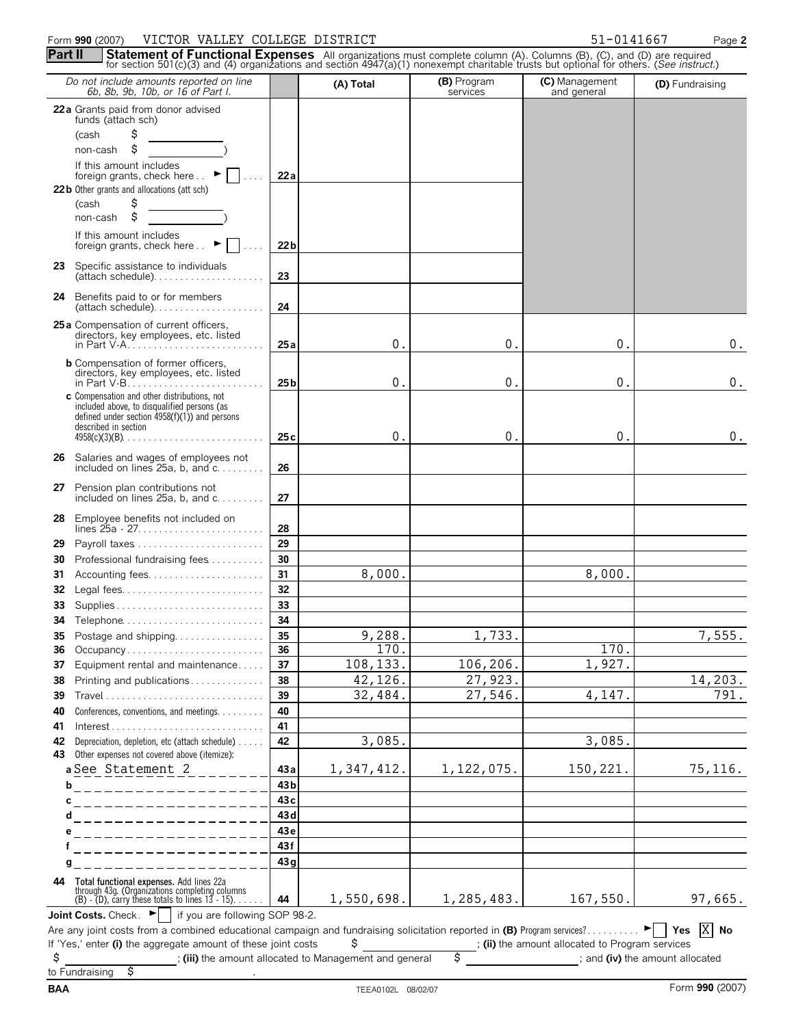## Form **990** (2007) Page **2** VICTOR VALLEY COLLEGE DISTRICT 51-0141667

| for section 501(c)(3) and (4) organizations and section 4947(a)(1) nonexempt charitable trusts but optional for others. (See instruct.)<br>Do not include amounts reported on line<br>6b, 8b, 9b, 10b, or 16 of Part I. |                      | (A) Total                                              | (B) Program<br>services | (C) Management<br>and general                                    | (D) Fundraising |
|-------------------------------------------------------------------------------------------------------------------------------------------------------------------------------------------------------------------------|----------------------|--------------------------------------------------------|-------------------------|------------------------------------------------------------------|-----------------|
| 22a Grants paid from donor advised                                                                                                                                                                                      |                      |                                                        |                         |                                                                  |                 |
| funds (attach sch)                                                                                                                                                                                                      |                      |                                                        |                         |                                                                  |                 |
| \$<br>(cash                                                                                                                                                                                                             |                      |                                                        |                         |                                                                  |                 |
| \$<br>non-cash                                                                                                                                                                                                          |                      |                                                        |                         |                                                                  |                 |
| If this amount includes<br>foreign grants, check here $\therefore$                                                                                                                                                      | 22 a                 |                                                        |                         |                                                                  |                 |
| 22 b Other grants and allocations (att sch)                                                                                                                                                                             |                      |                                                        |                         |                                                                  |                 |
| \$<br>(cash                                                                                                                                                                                                             |                      |                                                        |                         |                                                                  |                 |
| \$<br>non-cash                                                                                                                                                                                                          |                      |                                                        |                         |                                                                  |                 |
| If this amount includes<br>foreign grants, check here $\therefore$                                                                                                                                                      | 22 <sub>b</sub><br>. |                                                        |                         |                                                                  |                 |
| <b>23</b> Specific assistance to individuals<br>$(attach schedule). \ldots \ldots \ldots \ldots \ldots$                                                                                                                 | 23                   |                                                        |                         |                                                                  |                 |
| Benefits paid to or for members<br>24<br>$(attach schedule). \ldots \ldots \ldots \ldots \ldots$                                                                                                                        | 24                   |                                                        |                         |                                                                  |                 |
| 25 a Compensation of current officers,                                                                                                                                                                                  |                      |                                                        |                         |                                                                  |                 |
| directors, key employees, etc. listed                                                                                                                                                                                   | 25a                  | 0.                                                     | 0.                      | 0.                                                               | 0.              |
| <b>b</b> Compensation of former officers,                                                                                                                                                                               |                      |                                                        |                         |                                                                  |                 |
| directors, key employees, etc. listed                                                                                                                                                                                   | 25 <sub>b</sub>      | 0.                                                     | 0.                      | 0.                                                               | 0.              |
| c Compensation and other distributions, not                                                                                                                                                                             |                      |                                                        |                         |                                                                  |                 |
| included above, to disqualified persons (as<br>defined under section $4958(f)(1)$ ) and persons                                                                                                                         |                      |                                                        |                         |                                                                  |                 |
| described in section                                                                                                                                                                                                    |                      |                                                        |                         |                                                                  |                 |
| $4958(c)(3)(B)$                                                                                                                                                                                                         | 25c                  | 0.                                                     | 0.                      | 0.                                                               | $0$ .           |
| 26 Salaries and wages of employees not<br>included on lines $25a$ , b, and $c$                                                                                                                                          | 26                   |                                                        |                         |                                                                  |                 |
| 27 Pension plan contributions not<br>included on lines $25a$ , b, and $c$                                                                                                                                               | 27                   |                                                        |                         |                                                                  |                 |
| 28<br>Employee benefits not included on                                                                                                                                                                                 | 28                   |                                                        |                         |                                                                  |                 |
| 29                                                                                                                                                                                                                      | 29                   |                                                        |                         |                                                                  |                 |
| Professional fundraising fees<br>30                                                                                                                                                                                     | 30                   |                                                        |                         |                                                                  |                 |
| 31                                                                                                                                                                                                                      | 31                   | 8,000.                                                 |                         | 8,000.                                                           |                 |
| 32                                                                                                                                                                                                                      | 32                   |                                                        |                         |                                                                  |                 |
| Supplies<br>33                                                                                                                                                                                                          | 33                   |                                                        |                         |                                                                  |                 |
| Telephone<br>34<br>Postage and shipping                                                                                                                                                                                 | 34                   | 9,288.                                                 | 1,733.                  |                                                                  |                 |
| 35<br>36<br>Occupancy                                                                                                                                                                                                   | 35<br>36             | 170.                                                   |                         | 170.                                                             | 7,555.          |
| Equipment rental and maintenance<br>37                                                                                                                                                                                  | 37                   | 108,133.                                               | 106,206.                | 1,927.                                                           |                 |
| Printing and publications<br>38                                                                                                                                                                                         | 38                   | 42,126.                                                | 27,923.                 |                                                                  | 14,203.         |
| 39                                                                                                                                                                                                                      | 39                   | 32,484.                                                | 27,546.                 | 4,147.                                                           | 791.            |
| Conferences, conventions, and meetings.<br>40                                                                                                                                                                           | 40                   |                                                        |                         |                                                                  |                 |
| 41                                                                                                                                                                                                                      | 41                   |                                                        |                         |                                                                  |                 |
| Depreciation, depletion, etc (attach schedule)<br>42                                                                                                                                                                    | 42                   | 3,085.                                                 |                         | 3,085.                                                           |                 |
| Other expenses not covered above (itemize):<br>43                                                                                                                                                                       |                      |                                                        |                         |                                                                  |                 |
| a See Statement 2                                                                                                                                                                                                       | 43a                  | 1,347,412.                                             | 1, 122, 075.            | 150, 221.                                                        | 75, 116.        |
| <u>b___________________</u>                                                                                                                                                                                             | 43 <sub>b</sub>      |                                                        |                         |                                                                  |                 |
| c<br>__________________                                                                                                                                                                                                 | 43 с<br>43d          |                                                        |                         |                                                                  |                 |
| d<br>___________________<br>е                                                                                                                                                                                           | 43 e                 |                                                        |                         |                                                                  |                 |
| -------------------                                                                                                                                                                                                     | 43f                  |                                                        |                         |                                                                  |                 |
| _________________<br>g                                                                                                                                                                                                  | 43q                  |                                                        |                         |                                                                  |                 |
| Total functional expenses. Add lines 22a<br>through 43g. (Organizations completing columns<br>(B) - (D), carry these totals to lines 13 - 15).<br>44                                                                    |                      |                                                        |                         |                                                                  |                 |
|                                                                                                                                                                                                                         | 44                   | 1,550,698.                                             | 1,285,483.              | 167,550.                                                         | 97,665.         |
| <b>Joint Costs.</b> Check. $\blacktriangleright$   if you are following SOP 98-2.                                                                                                                                       |                      |                                                        |                         |                                                                  |                 |
| Are any joint costs from a combined educational campaign and fundraising solicitation reported in (B) Program services? $\blacktriangleright$   Yes<br>If 'Yes,' enter (i) the aggregate amount of these joint costs    |                      | \$                                                     |                         | ; (ii) the amount allocated to Program services                  | $X$ No          |
| \$<br>\$<br>to Fundraising                                                                                                                                                                                              |                      | ; (iii) the amount allocated to Management and general | $\overline{\mathsf{s}}$ | and (iv) the amount allocated (iv) and (iv) the amount allocated |                 |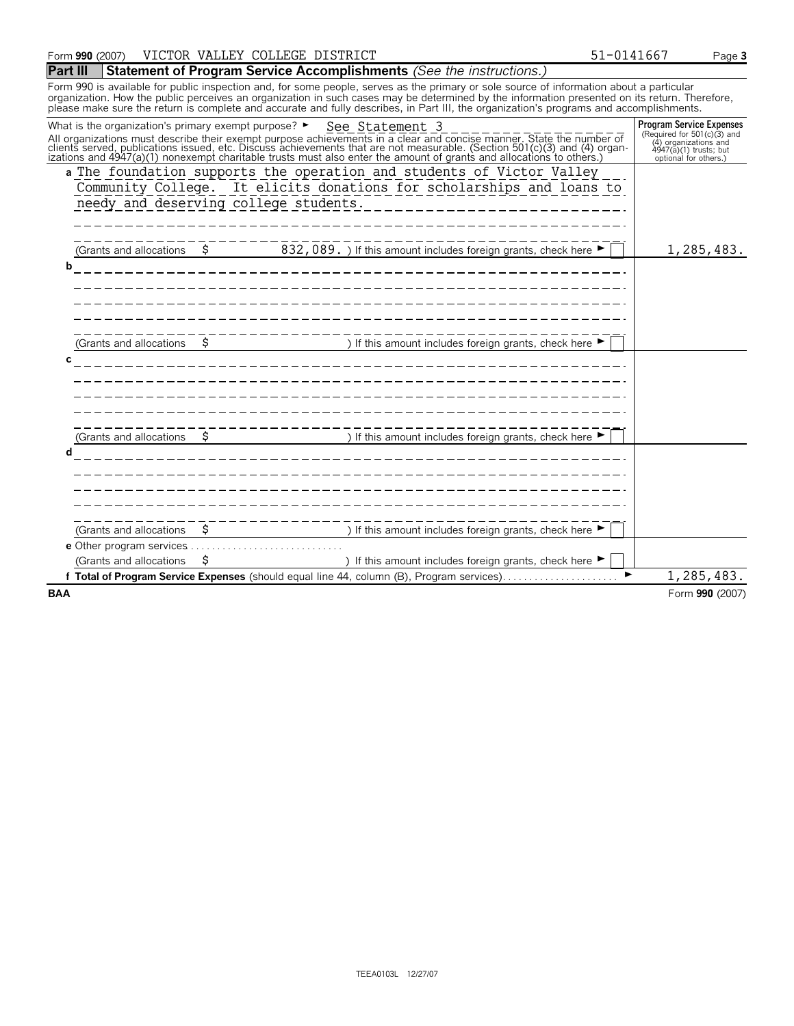## **Part III Statement of Program Service Accomplishments** *(See the instructions.)*

Form 990 is available for public inspection and, for some people, serves as the primary or sole source of information about a particular organization. How the public perceives an organization in such cases may be determined by the information presented on its return. Therefore,<br>please make sure the return is complete and accurate and fully describes, in Par

| What is the organization's primary exempt purpose? $\blacktriangleright$ |      | See Statement 3<br>All organizations must describe their exempt purpose achievements in a clear and concise manner. State the number of clients served, publications issued, etc. Discuss achievements that are not measurable. (Section 501(c)( | <b>Program Service Expenses</b><br>(Required for 501(c)(3) and<br>$(4)$ organizations and<br>$4947(a)(1)$ trusts; but<br>optional for others.) |
|--------------------------------------------------------------------------|------|--------------------------------------------------------------------------------------------------------------------------------------------------------------------------------------------------------------------------------------------------|------------------------------------------------------------------------------------------------------------------------------------------------|
| needy and deserving college students.                                    |      | a The foundation supports the operation and students of Victor Valley<br>Community College. It elicits donations for scholarships and loans to<br>___________________                                                                            |                                                                                                                                                |
| (Grants and allocations                                                  | - \$ | 832, 089. ) If this amount includes foreign grants, check here ▶                                                                                                                                                                                 | 1,285,483.                                                                                                                                     |
| b                                                                        |      |                                                                                                                                                                                                                                                  |                                                                                                                                                |
| (Grants and allocations<br>C.                                            | \$   | ) If this amount includes foreign grants, check here ▶                                                                                                                                                                                           |                                                                                                                                                |
| (Grants and allocations<br>d                                             |      | ) If this amount includes foreign grants, check here ▶                                                                                                                                                                                           |                                                                                                                                                |
| (Grants and allocations                                                  | \$   | ) If this amount includes foreign grants, check here ▶                                                                                                                                                                                           |                                                                                                                                                |
| e Other program services                                                 |      |                                                                                                                                                                                                                                                  |                                                                                                                                                |
| (Grants and allocations                                                  | S    | ) If this amount includes foreign grants, check here ▶<br>f Total of Program Service Expenses (should equal line 44, column (B), Program services)                                                                                               | 1,285,483.                                                                                                                                     |
| <b>BAA</b>                                                               |      |                                                                                                                                                                                                                                                  | Form 990 (2007)                                                                                                                                |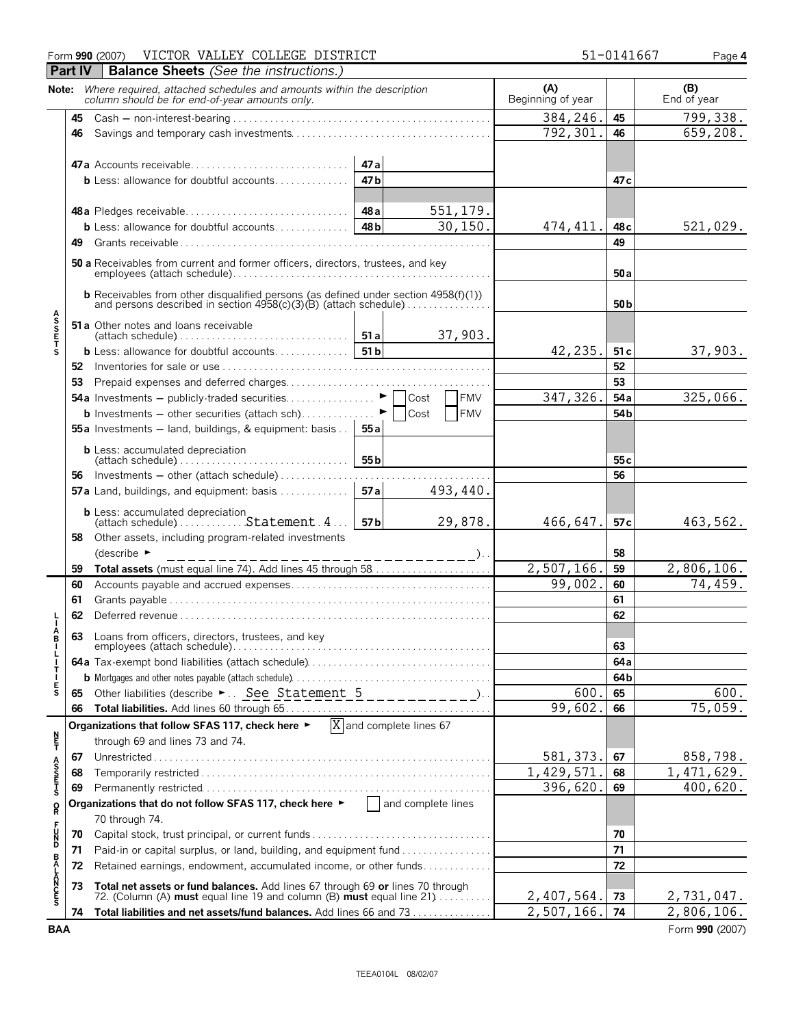## Form **990** (2007) VICTOR VALLEY COLLEGE DISTRICT 51-0141667 Page 4

|                       | Part IV  | <b>Balance Sheets</b> (See the instructions.)                                                                                                                  |                                                 |     |                                      |            |                          |                 |                               |
|-----------------------|----------|----------------------------------------------------------------------------------------------------------------------------------------------------------------|-------------------------------------------------|-----|--------------------------------------|------------|--------------------------|-----------------|-------------------------------|
|                       |          | Note: Where required, attached schedules and amounts within the description<br>column should be for end-of-year amounts only.                                  |                                                 |     |                                      |            | (A)<br>Beginning of year |                 | $(B)$ End of year             |
|                       | 45       |                                                                                                                                                                | 384,246.                                        | 45  | 799,338.                             |            |                          |                 |                               |
|                       | 46       |                                                                                                                                                                | 792,301                                         | 46  | 659,208.                             |            |                          |                 |                               |
|                       |          | 47a Accounts receivable<br><b>b</b> Less: allowance for doubtful accounts                                                                                      | 47 a<br>47 <sub>b</sub>                         |     |                                      |            |                          | 47 c            |                               |
|                       |          |                                                                                                                                                                | 551,179.<br>48 a<br>30, 150.<br>48 <sub>b</sub> |     |                                      |            |                          |                 | 521,029.                      |
|                       | 49       |                                                                                                                                                                |                                                 |     |                                      |            |                          | 49              |                               |
|                       |          | 50 a Receivables from current and former officers, directors, trustees, and key                                                                                |                                                 | 50a |                                      |            |                          |                 |                               |
|                       |          | <b>b</b> Receivables from other disqualified persons (as defined under section 4958(f)(1))<br>and persons described in section 4958(c)(3)(B) (attach schedule) |                                                 |     |                                      |            |                          | 50 <sub>b</sub> |                               |
| <b>ASSETS</b>         |          | 51 a Other notes and loans receivable<br>$(attach schedule) \ldots \ldots \ldots \ldots \ldots \ldots \ldots$                                                  | 51a                                             |     |                                      | 37,903.    |                          |                 |                               |
|                       |          | <b>b</b> Less: allowance for doubtful accounts                                                                                                                 | 51b                                             |     |                                      |            | 42,235.                  | 51 c            | 37,903.                       |
|                       |          |                                                                                                                                                                |                                                 |     |                                      |            |                          | 52              |                               |
|                       | 53       |                                                                                                                                                                |                                                 |     |                                      | <b>FMV</b> | 347, 326.                | 53<br>54a       | 325,066.                      |
|                       |          | <b>b</b> Investments $-$ other securities (attach sch)                                                                                                         |                                                 |     | Cost<br>Cost                         | <b>FMV</b> |                          | 54 <sub>b</sub> |                               |
|                       |          | 55a Investments - land, buildings, & equipment: basis                                                                                                          | 55 a                                            |     |                                      |            |                          |                 |                               |
|                       |          | <b>b</b> Less: accumulated depreciation<br>$\mathsf{l}$ (attach schedule) $\ldots \ldots \ldots \ldots \ldots \ldots \ldots \ldots$                            | 55 <sub>b</sub>                                 |     |                                      |            |                          | 55 <sub>c</sub> |                               |
|                       | 56       | Investments $-$ other (attach schedule)                                                                                                                        |                                                 |     |                                      |            |                          | 56              |                               |
|                       |          | 57a Land, buildings, and equipment: basis                                                                                                                      | 57a                                             |     |                                      | 493,440.   |                          |                 |                               |
|                       |          |                                                                                                                                                                | 57b                                             |     |                                      | 29,878.    | 466,647.                 | 57 <sub>c</sub> | 463,562.                      |
|                       | 58       | Other assets, including program-related investments<br>(describe $\blacktriangleright$                                                                         |                                                 |     | - – – – – – – – – – ). .             |            |                          | 58              |                               |
|                       | 59       |                                                                                                                                                                |                                                 |     |                                      |            | 2,507,166.               | 59              | 2,806,106.                    |
|                       | 60       |                                                                                                                                                                |                                                 |     |                                      |            | 99,002.                  | 60              | 74,459.                       |
|                       | 61       |                                                                                                                                                                |                                                 |     |                                      |            |                          | 61              |                               |
|                       | 62       |                                                                                                                                                                |                                                 |     |                                      |            |                          | 62              |                               |
| A<br>B                | 63       | Loans from officers, directors, trustees, and key                                                                                                              |                                                 |     |                                      |            |                          | 63              |                               |
| T                     |          |                                                                                                                                                                |                                                 |     |                                      |            |                          | 64 a            |                               |
| $\frac{1}{5}$         |          |                                                                                                                                                                |                                                 |     |                                      |            |                          | 64b             |                               |
|                       | 65       |                                                                                                                                                                |                                                 |     |                                      |            | 600.                     | 65              | 600.                          |
|                       | 66       |                                                                                                                                                                |                                                 |     |                                      |            | 99,602.                  | 66              | 75,059.                       |
| n<br>F                |          | Organizations that follow SFAS 117, check here ▶<br>through 69 and lines 73 and 74.                                                                            |                                                 |     | $\overline{X}$ and complete lines 67 |            |                          |                 |                               |
|                       | 67       |                                                                                                                                                                |                                                 |     |                                      |            | 581, 373.                | 67              | 858,798.                      |
| A<br>S<br>S<br>T<br>S | 68       |                                                                                                                                                                |                                                 |     |                                      |            | 1,429,571<br>396,620.    | 68              | 1, 471, 629.<br>400,620.      |
|                       | 69       | Organizations that do not follow SFAS 117, check here $\blacktriangleright$ $\Box$ and complete lines                                                          |                                                 |     |                                      |            |                          | 69              |                               |
| R                     |          | 70 through 74.                                                                                                                                                 |                                                 |     |                                      |            |                          |                 |                               |
| - 50<br>50            | 70<br>71 | Capital stock, trust principal, or current funds<br>Paid-in or capital surplus, or land, building, and equipment fund                                          |                                                 |     |                                      |            |                          | 70<br>71        |                               |
|                       | 72       | Retained earnings, endowment, accumulated income, or other funds                                                                                               |                                                 | 72  |                                      |            |                          |                 |                               |
| <b>BALANCES</b>       | 73       | Total net assets or fund balances. Add lines 67 through 69 or lines 70 through 72. (Column (A) must equal line 19 and column (B) must equal line 21            |                                                 |     |                                      |            |                          |                 |                               |
|                       |          |                                                                                                                                                                |                                                 |     |                                      |            | 2,407,564.<br>2,507,166. | 73              | 2,731,047.                    |
| <b>BAA</b>            | 74       | Total liabilities and net assets/fund balances. Add lines 66 and 73                                                                                            |                                                 |     |                                      |            |                          | 74              | 2,806,106.<br>Form 990 (2007) |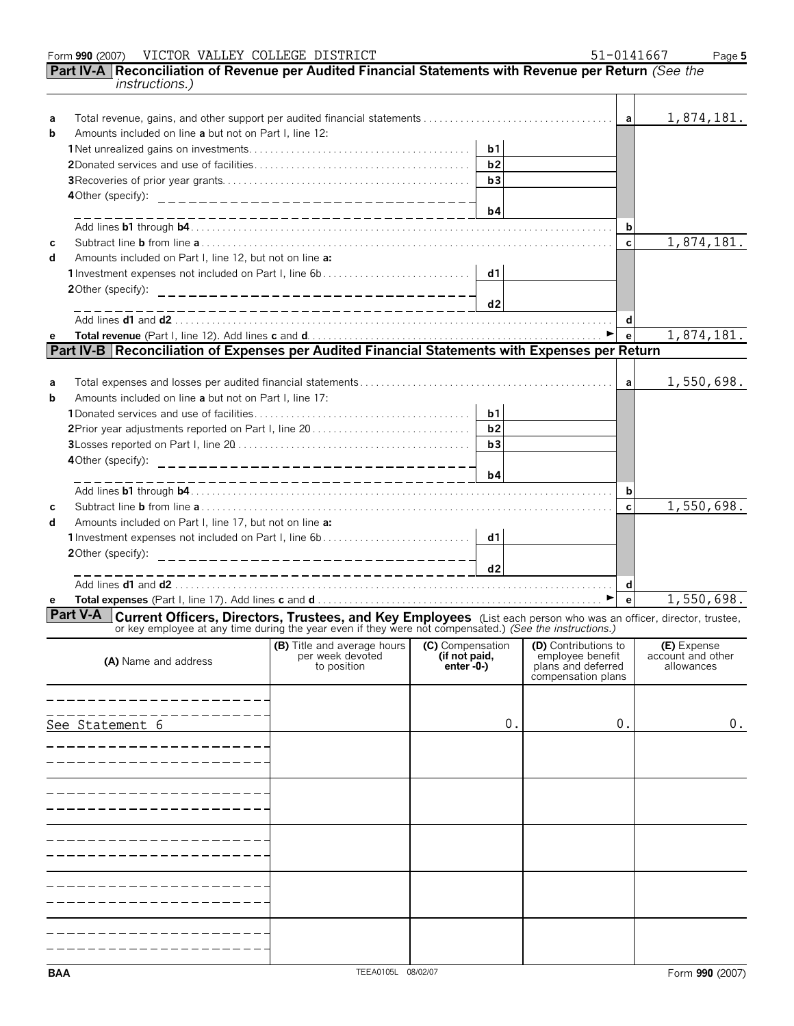|        | VICTOR VALLEY COLLEGE DISTRICT<br>Form 990 (2007)                                                                                                                                                                                            |                                                                       |                                                 |                |                                                                                      |              | 51-0141667<br>Page 5                           |
|--------|----------------------------------------------------------------------------------------------------------------------------------------------------------------------------------------------------------------------------------------------|-----------------------------------------------------------------------|-------------------------------------------------|----------------|--------------------------------------------------------------------------------------|--------------|------------------------------------------------|
|        | Part IV-A Reconciliation of Revenue per Audited Financial Statements with Revenue per Return (See the<br><i>instructions.)</i>                                                                                                               |                                                                       |                                                 |                |                                                                                      |              |                                                |
| a<br>b | Amounts included on line a but not on Part I, line 12:                                                                                                                                                                                       |                                                                       |                                                 |                |                                                                                      | a            | 1,874,181.                                     |
|        |                                                                                                                                                                                                                                              |                                                                       |                                                 | b1             |                                                                                      |              |                                                |
|        |                                                                                                                                                                                                                                              |                                                                       |                                                 | b2             |                                                                                      |              |                                                |
|        |                                                                                                                                                                                                                                              |                                                                       |                                                 | b3             |                                                                                      |              |                                                |
|        | 4Other (specify):                                                                                                                                                                                                                            | ___________________________________                                   |                                                 |                |                                                                                      |              |                                                |
|        |                                                                                                                                                                                                                                              | --------------------------                                            |                                                 | b4             |                                                                                      |              |                                                |
|        |                                                                                                                                                                                                                                              |                                                                       |                                                 |                |                                                                                      | b            |                                                |
| C      |                                                                                                                                                                                                                                              |                                                                       |                                                 |                |                                                                                      | $\mathbf c$  | 1,874,181.                                     |
| d      | Amounts included on Part I, line 12, but not on line a:                                                                                                                                                                                      |                                                                       |                                                 |                |                                                                                      |              |                                                |
|        |                                                                                                                                                                                                                                              |                                                                       |                                                 | d1             |                                                                                      |              |                                                |
|        | 20ther (specify):                                                                                                                                                                                                                            | _________________________________                                     |                                                 |                |                                                                                      |              |                                                |
|        |                                                                                                                                                                                                                                              | ____________________________                                          |                                                 | d2             |                                                                                      |              |                                                |
|        |                                                                                                                                                                                                                                              |                                                                       |                                                 |                |                                                                                      | d            |                                                |
| e      |                                                                                                                                                                                                                                              |                                                                       |                                                 |                |                                                                                      | $\mathbf{e}$ | $\overline{1,874,181}.$                        |
|        | Part IV-B Reconciliation of Expenses per Audited Financial Statements with Expenses per Return                                                                                                                                               |                                                                       |                                                 |                |                                                                                      |              |                                                |
|        |                                                                                                                                                                                                                                              |                                                                       |                                                 |                |                                                                                      |              |                                                |
| a      |                                                                                                                                                                                                                                              |                                                                       |                                                 |                |                                                                                      | a            | 1,550,698.                                     |
| b      | Amounts included on line a but not on Part I, line 17:                                                                                                                                                                                       |                                                                       |                                                 |                |                                                                                      |              |                                                |
|        |                                                                                                                                                                                                                                              |                                                                       |                                                 | b <sub>1</sub> |                                                                                      |              |                                                |
|        | 2Prior year adjustments reported on Part I, line 20                                                                                                                                                                                          |                                                                       |                                                 | b2             |                                                                                      |              |                                                |
|        |                                                                                                                                                                                                                                              |                                                                       |                                                 | b3             |                                                                                      |              |                                                |
|        | 4Other (specify):                                                                                                                                                                                                                            | __________________________________                                    |                                                 |                |                                                                                      |              |                                                |
|        |                                                                                                                                                                                                                                              |                                                                       |                                                 | b4             |                                                                                      |              |                                                |
|        |                                                                                                                                                                                                                                              |                                                                       |                                                 |                |                                                                                      | b            |                                                |
| C      |                                                                                                                                                                                                                                              |                                                                       |                                                 |                |                                                                                      | $\mathbf c$  | 1,550,698.                                     |
| d      | Amounts included on Part I, line 17, but not on line a:                                                                                                                                                                                      |                                                                       |                                                 |                |                                                                                      |              |                                                |
|        |                                                                                                                                                                                                                                              |                                                                       |                                                 | d1             |                                                                                      |              |                                                |
|        | 20ther (specify):                                                                                                                                                                                                                            | ________________________________                                      |                                                 |                |                                                                                      |              |                                                |
|        |                                                                                                                                                                                                                                              | ----------------------------                                          |                                                 | d2             |                                                                                      |              |                                                |
|        |                                                                                                                                                                                                                                              |                                                                       |                                                 |                |                                                                                      | d            |                                                |
| е      |                                                                                                                                                                                                                                              |                                                                       |                                                 |                |                                                                                      | $\mathbf{e}$ | 1,550,698.                                     |
|        | Part V-A<br><b>Current Officers, Directors, Trustees, and Key Employees</b> (List each person who was an officer, director, trustee, or key employee at any time during the year even if they were not compensated.) (See the instructions.) |                                                                       |                                                 |                |                                                                                      |              |                                                |
|        | (A) Name and address                                                                                                                                                                                                                         | <b>(B)</b> Title and average hours<br>per week devoted<br>to position | (C) Compensation<br>(if not paid,<br>enter -0-) |                | (D) Contributions to<br>employee benefit<br>plans and deferred<br>compensation plans |              | (E) Expense<br>account and other<br>allowances |
|        |                                                                                                                                                                                                                                              |                                                                       |                                                 |                |                                                                                      |              |                                                |
|        |                                                                                                                                                                                                                                              |                                                                       |                                                 |                |                                                                                      |              |                                                |
|        | See Statement 6                                                                                                                                                                                                                              |                                                                       |                                                 | 0.             |                                                                                      | 0.           | 0.                                             |
|        |                                                                                                                                                                                                                                              |                                                                       |                                                 |                |                                                                                      |              |                                                |
|        |                                                                                                                                                                                                                                              |                                                                       |                                                 |                |                                                                                      |              |                                                |
|        |                                                                                                                                                                                                                                              |                                                                       |                                                 |                |                                                                                      |              |                                                |
|        |                                                                                                                                                                                                                                              |                                                                       |                                                 |                |                                                                                      |              |                                                |
|        |                                                                                                                                                                                                                                              |                                                                       |                                                 |                |                                                                                      |              |                                                |
|        |                                                                                                                                                                                                                                              |                                                                       |                                                 |                |                                                                                      |              |                                                |
|        |                                                                                                                                                                                                                                              |                                                                       |                                                 |                |                                                                                      |              |                                                |
|        |                                                                                                                                                                                                                                              |                                                                       |                                                 |                |                                                                                      |              |                                                |
|        |                                                                                                                                                                                                                                              |                                                                       |                                                 |                |                                                                                      |              |                                                |
|        |                                                                                                                                                                                                                                              |                                                                       |                                                 |                |                                                                                      |              |                                                |
|        |                                                                                                                                                                                                                                              |                                                                       |                                                 |                |                                                                                      |              |                                                |
|        |                                                                                                                                                                                                                                              |                                                                       |                                                 |                |                                                                                      |              |                                                |
|        |                                                                                                                                                                                                                                              |                                                                       |                                                 |                |                                                                                      |              |                                                |
|        |                                                                                                                                                                                                                                              |                                                                       |                                                 |                |                                                                                      |              |                                                |
|        |                                                                                                                                                                                                                                              |                                                                       |                                                 |                |                                                                                      |              |                                                |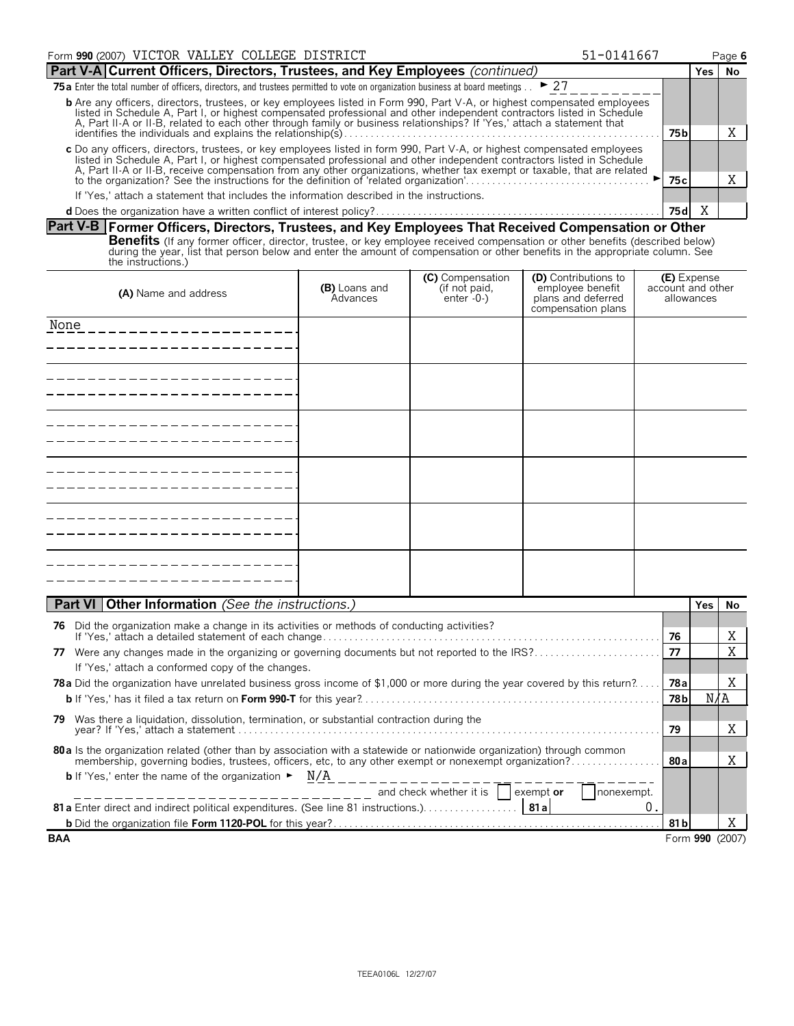| Form 990 (2007) VICTOR VALLEY COLLEGE DISTRICT<br>51-0141667                                                                                                                                                                                                                                                                                                                         |       |       |       |    |  |
|--------------------------------------------------------------------------------------------------------------------------------------------------------------------------------------------------------------------------------------------------------------------------------------------------------------------------------------------------------------------------------------|-------|-------|-------|----|--|
| Part V-A Current Officers, Directors, Trustees, and Key Employees (continued)                                                                                                                                                                                                                                                                                                        |       |       | Yes l | No |  |
| 75 a Enter the total number of officers, directors, and trustees permitted to vote on organization business at board meetings $. \triangleright$ 27                                                                                                                                                                                                                                  |       |       |       |    |  |
| <b>b</b> Are any officers, directors, trustees, or key employees listed in Form 990, Part V-A, or highest compensated employees<br>listed in Schedule A, Part I, or highest compensated professional and other independent contractors listed in Schedule<br>A, Part II-A or II-B, related to each other through family or business relationships? If 'Yes,' attach a statement that |       |       |       |    |  |
| 75 b                                                                                                                                                                                                                                                                                                                                                                                 |       |       |       |    |  |
| c Do any officers, directors, trustees, or key employees listed in form 990, Part V-A, or highest compensated employees<br>listed in Schedule A, Part I, or highest compensated professional and other independent contractors listed in Schedule                                                                                                                                    |       |       |       |    |  |
| A, Part II-A or II-B, receive compensation from any other organizations, whether tax exempt or taxable, that are related to the organization? See the instructions for the definition of 'related organization'                                                                                                                                                                      | 75 cl |       |       |    |  |
| If 'Yes,' attach a statement that includes the information described in the instructions.                                                                                                                                                                                                                                                                                            |       |       |       |    |  |
|                                                                                                                                                                                                                                                                                                                                                                                      |       | 75 dl |       |    |  |

## **Part V-B Former Officers, Directors, Trustees, and Key Employees That Received Compensation or Other**

**Benefits** (If any former officer, director, trustee, or key employee received compensation or other benefits (described below)<br>during the year, list that person below and enter the amount of compensation or other benefits

| (A) Name and address | (B) Loans and<br>Advances | (C) Compensation<br>$(int not paid, enter -0-)$ | (D) Contributions to<br>employee benefit<br>plans and deferred<br>compensation plans | <b>(E)</b> Expense<br>account and other<br>allowances |
|----------------------|---------------------------|-------------------------------------------------|--------------------------------------------------------------------------------------|-------------------------------------------------------|
| None                 |                           |                                                 |                                                                                      |                                                       |
|                      |                           |                                                 |                                                                                      |                                                       |
|                      |                           |                                                 |                                                                                      |                                                       |
|                      |                           |                                                 |                                                                                      |                                                       |
|                      |                           |                                                 |                                                                                      |                                                       |
|                      |                           |                                                 |                                                                                      |                                                       |
|                      |                           |                                                 |                                                                                      |                                                       |

| <b>Part VI   Other Information</b> (See the instructions.)                                                                              | Yes.            | No. |  |  |  |
|-----------------------------------------------------------------------------------------------------------------------------------------|-----------------|-----|--|--|--|
| Did the organization make a change in its activities or methods of conducting activities?<br>76                                         |                 |     |  |  |  |
| 76                                                                                                                                      |                 | A   |  |  |  |
| Were any changes made in the organizing or governing documents but not reported to the IRS?<br>77                                       |                 |     |  |  |  |
| If 'Yes,' attach a conformed copy of the changes.                                                                                       |                 |     |  |  |  |
| <b>78a</b> Did the organization have unrelated business gross income of \$1,000 or more during the year covered by this return?<br>78al |                 | A   |  |  |  |
| 78 bl                                                                                                                                   |                 | N/A |  |  |  |
| Was there a liquidation, dissolution, termination, or substantial contraction during the<br>79                                          |                 |     |  |  |  |
| 79                                                                                                                                      |                 | Χ   |  |  |  |
| 80 a ls the organization related (other than by association with a statewide or nationwide organization) through common                 |                 |     |  |  |  |
| membership, governing bodies, trustees, officers, etc, to any other exempt or nonexempt organization?<br>80a                            |                 | X   |  |  |  |
| <b>b</b> If 'Yes,' enter the name of the organization $\blacktriangleright$ N/A                                                         |                 |     |  |  |  |
| -------------------- and check whether it is   exempt or<br>nonexempt.                                                                  |                 |     |  |  |  |
| 0.                                                                                                                                      |                 |     |  |  |  |
| 81 b                                                                                                                                    |                 |     |  |  |  |
| <b>BAA</b>                                                                                                                              | Form 990 (2007) |     |  |  |  |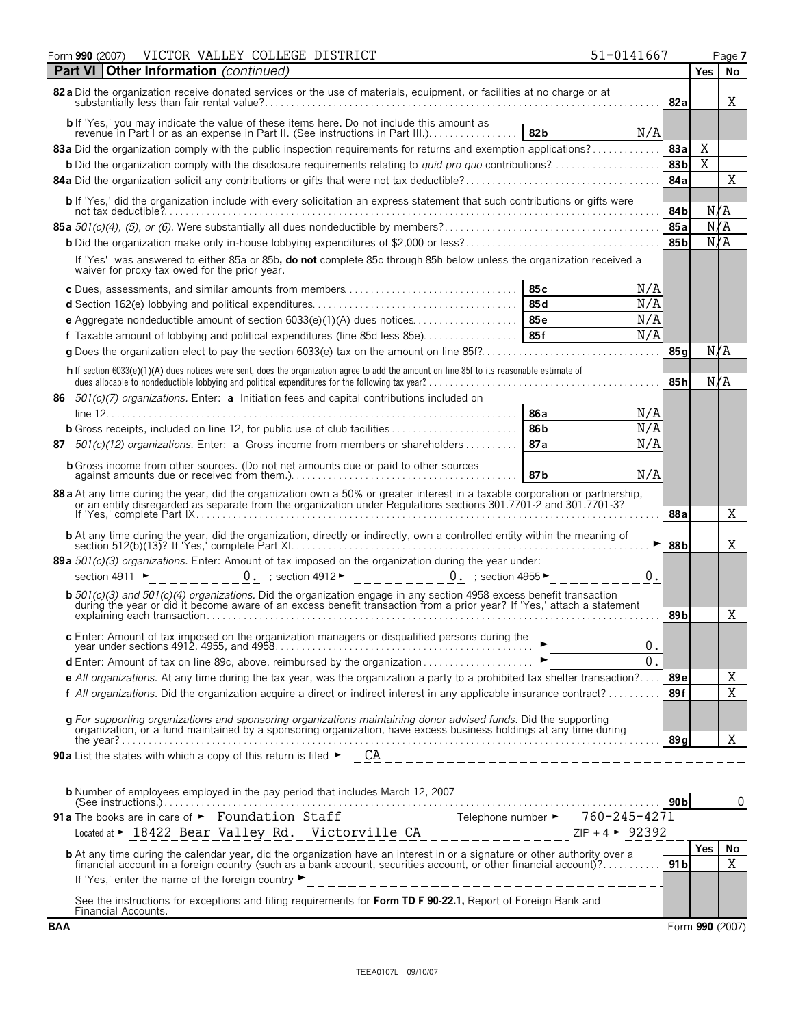| VICTOR VALLEY COLLEGE DISTRICT<br>Form 990 (2007)                                                                                                                                                                                   | 51-0141667  |                 | Page 7           |
|-------------------------------------------------------------------------------------------------------------------------------------------------------------------------------------------------------------------------------------|-------------|-----------------|------------------|
| <b>Other Information</b> (continued)<br><b>Part VI</b>                                                                                                                                                                              |             |                 | <b>Yes</b><br>No |
| 82 a Did the organization receive donated services or the use of materials, equipment, or facilities at no charge or at                                                                                                             |             | 82a             | X                |
|                                                                                                                                                                                                                                     | 82b<br>N/A  |                 |                  |
| 83a Did the organization comply with the public inspection requirements for returns and exemption applications?                                                                                                                     |             | 83a             | Χ                |
| <b>b</b> Did the organization comply with the disclosure requirements relating to <i>quid pro quo</i> contributions?                                                                                                                |             | 83b             | X                |
|                                                                                                                                                                                                                                     |             | 84a             | Χ                |
| b If 'Yes,' did the organization include with every solicitation an express statement that such contributions or gifts were                                                                                                         |             | 84 b            | N/A              |
|                                                                                                                                                                                                                                     |             | 85a             | N/A              |
|                                                                                                                                                                                                                                     |             | 85 <sub>b</sub> | N/A              |
| If 'Yes' was answered to either 85a or 85b, do not complete 85c through 85h below unless the organization received a<br>waiver for proxy tax owed for the prior year.                                                               |             |                 |                  |
|                                                                                                                                                                                                                                     | 85 c<br>N/A |                 |                  |
|                                                                                                                                                                                                                                     | N/A<br>85 d |                 |                  |
|                                                                                                                                                                                                                                     | N/A<br>85 e |                 |                  |
| <b>f</b> Taxable amount of lobbying and political expenditures (line 85d less 85e)                                                                                                                                                  | N/A<br>85f  |                 |                  |
|                                                                                                                                                                                                                                     |             | 85 a            | N/A              |
| h If section 6033(e)(1)(A) dues notices were sent, does the organization agree to add the amount on line 85f to its reasonable estimate of                                                                                          |             | 85 <sub>h</sub> | N/A              |
| 86 $501(c)(7)$ organizations. Enter: a Initiation fees and capital contributions included on                                                                                                                                        |             |                 |                  |
|                                                                                                                                                                                                                                     | N/A<br>86 a |                 |                  |
|                                                                                                                                                                                                                                     | N/A<br>86b  |                 |                  |
| $501(c)(12)$ organizations. Enter: <b>a</b> Gross income from members or shareholders<br>87                                                                                                                                         | N/A<br>87a  |                 |                  |
| <b>b</b> Gross income from other sources. (Do not net amounts due or paid to other sources                                                                                                                                          | N/A<br>87 b |                 |                  |
| 88 a At any time during the year, did the organization own a 50% or greater interest in a taxable corporation or partnership, or an entity disregarded as separate from the organization under Regulations sections 301.7701-2      |             | 88 a            | X                |
| <b>b</b> At any time during the year, did the organization, directly or indirectly, own a controlled entity within the meaning of                                                                                                   |             | 88 b            | X                |
| 89 a 501(c)(3) organizations. Enter: Amount of tax imposed on the organization during the year under:                                                                                                                               |             |                 |                  |
| $\underline{0}\cdot$ ; section 4912 $\blacktriangleright$ _______ 0. ; section 4955 $\blacktriangleright$<br>section 4911 $\blacktriangleright$                                                                                     | 0.          |                 |                  |
| <b>b</b> 501(c)(3) and 501(c)(4) organizations. Did the organization engage in any section 4958 excess benefit transaction during the year or did it become aware of an excess benefit transaction from a prior year? If 'Yes,' att |             | 89 b            | Χ                |
| c Enter: Amount of tax imposed on the organization managers or disqualified persons during the                                                                                                                                      | 0.          |                 |                  |
|                                                                                                                                                                                                                                     | 0.          |                 |                  |
| e All organizations. At any time during the tax year, was the organization a party to a prohibited tax shelter transaction?                                                                                                         |             | 89 e            | Χ                |
| f All organizations. Did the organization acquire a direct or indirect interest in any applicable insurance contract?                                                                                                               |             | 89f             | $\overline{X}$   |
|                                                                                                                                                                                                                                     |             |                 |                  |
| g For supporting organizations and sponsoring organizations maintaining donor advised funds. Did the supporting<br>organization, or a fund maintained by a sponsoring organization, have excess business holdings at any time dur   |             | 89 a            | Χ                |
|                                                                                                                                                                                                                                     |             |                 |                  |
|                                                                                                                                                                                                                                     |             |                 |                  |
| <b>b</b> Number of employees employed in the pay period that includes March 12, 2007                                                                                                                                                |             | 90 <sub>b</sub> | $\theta$         |
| 91a The books are in care of $\blacktriangleright$ Foundation Staff                                                                                                                                                                 |             |                 |                  |
|                                                                                                                                                                                                                                     |             |                 |                  |
| <b>b</b> At any time during the calendar year, did the organization have an interest in or a signature or other authority over a                                                                                                    |             |                 | Yes<br>No        |
| financial account in a foreign country (such as a bank account, securities account, or other financial account)?<br>If 'Yes,' enter the name of the foreign country ▶<br>________________________________                           |             | 91 <sub>b</sub> | $\overline{X}$   |
| See the instructions for exceptions and filing requirements for Form TD F 90-22.1, Report of Foreign Bank and<br>Financial Accounts.                                                                                                |             |                 |                  |
| <b>BAA</b>                                                                                                                                                                                                                          |             |                 | Form 990 (2007)  |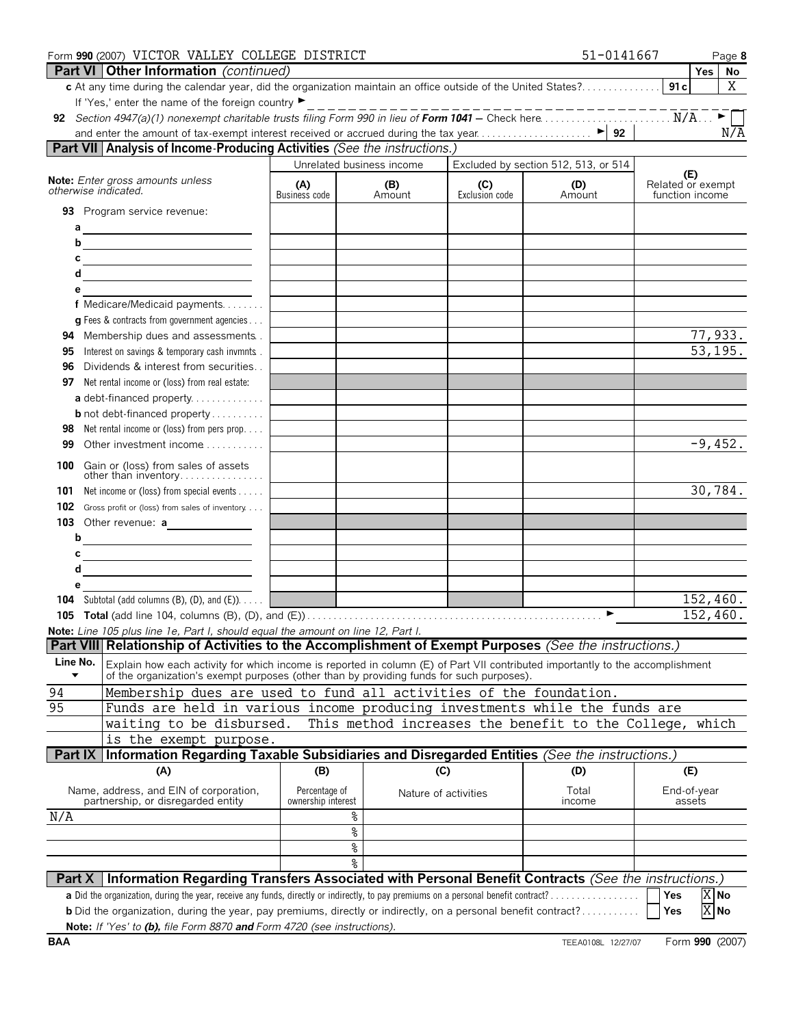|            | Form 990 (2007) VICTOR VALLEY COLLEGE DISTRICT                                                                                                                                                                          |                      |                           |                       | 51-0141667                                              | Page 8                               |
|------------|-------------------------------------------------------------------------------------------------------------------------------------------------------------------------------------------------------------------------|----------------------|---------------------------|-----------------------|---------------------------------------------------------|--------------------------------------|
|            | Part VI   Other Information (continued)                                                                                                                                                                                 |                      |                           |                       |                                                         | <b>Yes</b><br>No                     |
|            | c At any time during the calendar year, did the organization maintain an office outside of the United States?                                                                                                           |                      |                           |                       |                                                         | X<br>91c                             |
|            | If 'Yes,' enter the name of the foreign country ▶                                                                                                                                                                       |                      |                           |                       |                                                         |                                      |
|            |                                                                                                                                                                                                                         |                      |                           |                       |                                                         | N/A                                  |
|            | Part VII Analysis of Income-Producing Activities (See the instructions.)                                                                                                                                                |                      |                           |                       |                                                         |                                      |
|            |                                                                                                                                                                                                                         |                      | Unrelated business income |                       | Excluded by section 512, 513, or 514                    |                                      |
|            | Note: Enter gross amounts unless                                                                                                                                                                                        |                      |                           |                       |                                                         | (E)                                  |
|            | otherwise indicated.                                                                                                                                                                                                    | (A)<br>Business code | (B)<br>Amount             | (C)<br>Exclusion code | (D)<br>Amount                                           | Related or exempt<br>function income |
|            | 93 Program service revenue:                                                                                                                                                                                             |                      |                           |                       |                                                         |                                      |
| а          |                                                                                                                                                                                                                         |                      |                           |                       |                                                         |                                      |
| b          | <u> 1989 - Johann Barbara, martxa alemaniar a</u>                                                                                                                                                                       |                      |                           |                       |                                                         |                                      |
| с          | <u> 1989 - Johann Barn, mars ann an t-Amhair ann an t-Amhair an t-Amhair ann an t-Amhair an t-Amhair ann an t-Amh</u>                                                                                                   |                      |                           |                       |                                                         |                                      |
| d          |                                                                                                                                                                                                                         |                      |                           |                       |                                                         |                                      |
| е          |                                                                                                                                                                                                                         |                      |                           |                       |                                                         |                                      |
|            | f Medicare/Medicaid payments                                                                                                                                                                                            |                      |                           |                       |                                                         |                                      |
|            | <b>g</b> Fees & contracts from government agencies                                                                                                                                                                      |                      |                           |                       |                                                         |                                      |
| 94         | Membership dues and assessments.                                                                                                                                                                                        |                      |                           |                       |                                                         | 77,933.                              |
| 95         | Interest on savings & temporary cash invmnts.                                                                                                                                                                           |                      |                           |                       |                                                         | 53, 195.                             |
| 96         | Dividends & interest from securities                                                                                                                                                                                    |                      |                           |                       |                                                         |                                      |
| 97         | Net rental income or (loss) from real estate:                                                                                                                                                                           |                      |                           |                       |                                                         |                                      |
|            | a debt-financed property                                                                                                                                                                                                |                      |                           |                       |                                                         |                                      |
|            | <b>b</b> not debt-financed property                                                                                                                                                                                     |                      |                           |                       |                                                         |                                      |
| 98         | Net rental income or (loss) from pers prop                                                                                                                                                                              |                      |                           |                       |                                                         |                                      |
| 99         | Other investment income                                                                                                                                                                                                 |                      |                           |                       |                                                         | $-9,452.$                            |
| 100        | Gain or (loss) from sales of assets                                                                                                                                                                                     |                      |                           |                       |                                                         |                                      |
|            | other than inventory                                                                                                                                                                                                    |                      |                           |                       |                                                         | 30,784.                              |
| 101        | Net income or (loss) from special events                                                                                                                                                                                |                      |                           |                       |                                                         |                                      |
| 102        | Gross profit or (loss) from sales of inventory                                                                                                                                                                          |                      |                           |                       |                                                         |                                      |
| b          | 103 Other revenue: a                                                                                                                                                                                                    |                      |                           |                       |                                                         |                                      |
| С          | <u> 1980 - Johann Barbara, martxa alemaniar a</u>                                                                                                                                                                       |                      |                           |                       |                                                         |                                      |
| d          | <u> 1989 - Johann Barbara, martin a</u>                                                                                                                                                                                 |                      |                           |                       |                                                         |                                      |
| е          |                                                                                                                                                                                                                         |                      |                           |                       |                                                         |                                      |
|            | <b>104</b> Subtotal (add columns $(B)$ , $(D)$ , and $(E)$ ).                                                                                                                                                           |                      |                           |                       |                                                         | 152,460.                             |
|            |                                                                                                                                                                                                                         |                      |                           |                       | ►                                                       | 152,460.                             |
|            | Note: Line 105 plus line 1e, Part I, should equal the amount on line 12, Part I.                                                                                                                                        |                      |                           |                       |                                                         |                                      |
|            | Part VIII Relationship of Activities to the Accomplishment of Exempt Purposes (See the instructions.)                                                                                                                   |                      |                           |                       |                                                         |                                      |
| Line No.   | Explain how each activity for which income is reported in column (E) of Part VII contributed importantly to the accomplishment of the organization's exempt purposes (other than by providing funds for such purposes). |                      |                           |                       |                                                         |                                      |
| 94         | Membership dues are used to fund all activities of the foundation.                                                                                                                                                      |                      |                           |                       |                                                         |                                      |
| 95         | Funds are held in various income producing investments while the funds are                                                                                                                                              |                      |                           |                       |                                                         |                                      |
|            | waiting to be disbursed.                                                                                                                                                                                                |                      |                           |                       | This method increases the benefit to the College, which |                                      |
|            | is the exempt purpose.                                                                                                                                                                                                  |                      |                           |                       |                                                         |                                      |
| Part IX    | Information Regarding Taxable Subsidiaries and Disregarded Entities (See the instructions.)                                                                                                                             |                      |                           |                       |                                                         |                                      |
|            | (A)                                                                                                                                                                                                                     | (B)                  | (C)                       |                       | (D)                                                     | (E)                                  |
|            | Name, address, and EIN of corporation,                                                                                                                                                                                  | Percentage of        |                           |                       | Total                                                   | End-of-year                          |
|            | partnership, or disregarded entity                                                                                                                                                                                      | ownership interest   | Nature of activities      |                       | income                                                  | assets                               |
| N/A        |                                                                                                                                                                                                                         |                      | ٥,                        |                       |                                                         |                                      |
|            |                                                                                                                                                                                                                         |                      | %                         |                       |                                                         |                                      |
|            |                                                                                                                                                                                                                         |                      | ٥ę                        |                       |                                                         |                                      |
|            |                                                                                                                                                                                                                         |                      | ٥g                        |                       |                                                         |                                      |
| Part X     | Information Regarding Transfers Associated with Personal Benefit Contracts (See the instructions.)                                                                                                                      |                      |                           |                       |                                                         |                                      |
|            | a Did the organization, during the year, receive any funds, directly or indirectly, to pay premiums on a personal benefit contract?                                                                                     |                      |                           |                       |                                                         | X No<br>Yes                          |
|            | <b>b</b> Did the organization, during the year, pay premiums, directly or indirectly, on a personal benefit contract?                                                                                                   |                      |                           |                       |                                                         | X No<br>Yes                          |
|            | Note: If 'Yes' to (b), file Form 8870 and Form 4720 (see instructions).                                                                                                                                                 |                      |                           |                       |                                                         |                                      |
| <b>BAA</b> |                                                                                                                                                                                                                         |                      |                           |                       | TEEA0108L 12/27/07                                      | Form 990 (2007)                      |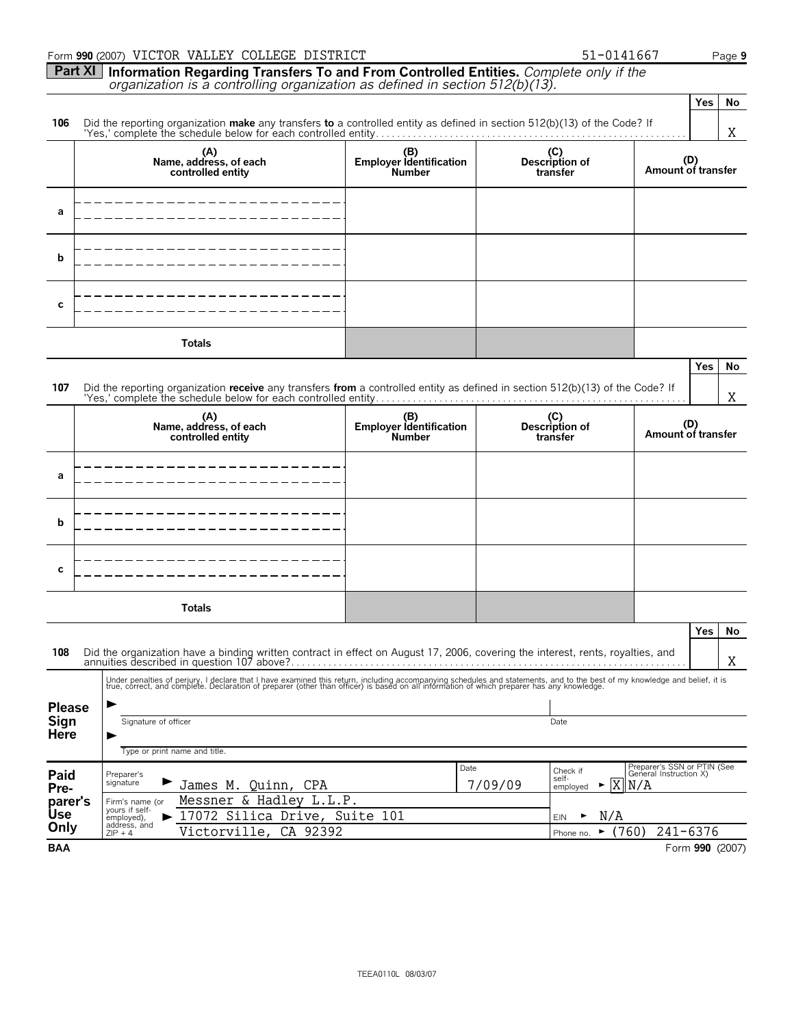|                       | Form 990 (2007) VICTOR VALLEY COLLEGE DISTRICT                                                                                                                                                                                    |                                |                                        | 51-0141667                                            |     | Page 9          |
|-----------------------|-----------------------------------------------------------------------------------------------------------------------------------------------------------------------------------------------------------------------------------|--------------------------------|----------------------------------------|-------------------------------------------------------|-----|-----------------|
|                       | Part XI   Information Regarding Transfers To and From Controlled Entities. Complete only if the                                                                                                                                   |                                |                                        |                                                       |     |                 |
|                       | organization is a controlling organization as defined in section 512(b)(13).                                                                                                                                                      |                                |                                        |                                                       |     |                 |
|                       |                                                                                                                                                                                                                                   |                                |                                        |                                                       | Yes | No              |
| 106                   | Did the reporting organization <b>make</b> any transfers to a controlled entity as defined in section $512(b)(13)$ of the Code? If                                                                                                |                                |                                        |                                                       |     |                 |
|                       |                                                                                                                                                                                                                                   |                                |                                        |                                                       |     | Χ               |
|                       | (A)<br>Name, address, of each                                                                                                                                                                                                     | (B)<br>Employer Identification | (C)<br>Description of                  | (D)                                                   |     |                 |
|                       | controlled entity                                                                                                                                                                                                                 | <b>Number</b>                  | transfer                               | Amount of transfer                                    |     |                 |
|                       |                                                                                                                                                                                                                                   |                                |                                        |                                                       |     |                 |
| a                     |                                                                                                                                                                                                                                   |                                |                                        |                                                       |     |                 |
|                       |                                                                                                                                                                                                                                   |                                |                                        |                                                       |     |                 |
|                       |                                                                                                                                                                                                                                   |                                |                                        |                                                       |     |                 |
| b                     |                                                                                                                                                                                                                                   |                                |                                        |                                                       |     |                 |
|                       |                                                                                                                                                                                                                                   |                                |                                        |                                                       |     |                 |
|                       |                                                                                                                                                                                                                                   |                                |                                        |                                                       |     |                 |
| с                     |                                                                                                                                                                                                                                   |                                |                                        |                                                       |     |                 |
|                       |                                                                                                                                                                                                                                   |                                |                                        |                                                       |     |                 |
|                       | <b>Totals</b>                                                                                                                                                                                                                     |                                |                                        |                                                       |     |                 |
|                       |                                                                                                                                                                                                                                   |                                |                                        |                                                       | Yes | No              |
| 107                   | Did the reporting organization receive any transfers from a controlled entity as defined in section 512(b)(13) of the Code? If                                                                                                    |                                |                                        |                                                       |     |                 |
|                       |                                                                                                                                                                                                                                   |                                |                                        |                                                       |     | Χ               |
|                       | (A)<br>Name, address, of each                                                                                                                                                                                                     | (B)<br>Employer Identification | (C)<br>Description of                  | (D)                                                   |     |                 |
|                       | controlled entity                                                                                                                                                                                                                 | <b>Number</b>                  | transfer                               | Amount of transfer                                    |     |                 |
|                       |                                                                                                                                                                                                                                   |                                |                                        |                                                       |     |                 |
| a                     |                                                                                                                                                                                                                                   |                                |                                        |                                                       |     |                 |
|                       |                                                                                                                                                                                                                                   |                                |                                        |                                                       |     |                 |
|                       |                                                                                                                                                                                                                                   |                                |                                        |                                                       |     |                 |
| b                     |                                                                                                                                                                                                                                   |                                |                                        |                                                       |     |                 |
|                       |                                                                                                                                                                                                                                   |                                |                                        |                                                       |     |                 |
|                       |                                                                                                                                                                                                                                   |                                |                                        |                                                       |     |                 |
| с                     |                                                                                                                                                                                                                                   |                                |                                        |                                                       |     |                 |
|                       |                                                                                                                                                                                                                                   |                                |                                        |                                                       |     |                 |
|                       | <b>Totals</b>                                                                                                                                                                                                                     |                                |                                        |                                                       |     |                 |
|                       |                                                                                                                                                                                                                                   |                                |                                        |                                                       | Yes | <b>No</b>       |
| 108                   | Did the organization have a binding written contract in effect on August 17, 2006, covering the interest, rents, royalties, and                                                                                                   |                                |                                        |                                                       |     |                 |
|                       |                                                                                                                                                                                                                                   |                                |                                        |                                                       |     | X.              |
|                       | Under penalties of perjury, I declare that I have examined this return, including accompanying schedules and statements, and to the best of my knowledge and belief, it is<br>true, correct, and complete. Declaration of prepare |                                |                                        |                                                       |     |                 |
|                       |                                                                                                                                                                                                                                   |                                |                                        |                                                       |     |                 |
| <b>Please</b><br>Sign | Signature of officer                                                                                                                                                                                                              |                                | Date                                   |                                                       |     |                 |
| Here                  |                                                                                                                                                                                                                                   |                                |                                        |                                                       |     |                 |
|                       | Type or print name and title.                                                                                                                                                                                                     |                                |                                        |                                                       |     |                 |
| Paid                  | Preparer's                                                                                                                                                                                                                        | Date                           | Check if                               | Preparer's SSN or PTIN (See<br>General Instruction X) |     |                 |
| Pre-                  | signature<br>James M. Quinn, CPA                                                                                                                                                                                                  |                                | self-<br>Χ<br>7/09/09<br>►<br>employed | N/A                                                   |     |                 |
| parer's               | Messner & Hadley L.L.P.<br>Firm's name (or<br>yours if self-                                                                                                                                                                      |                                |                                        |                                                       |     |                 |
| <b>Use</b><br>Only    | 17072 Silica Drive, Suite 101<br>employed),<br>address, and                                                                                                                                                                       |                                | N/A<br><b>EIN</b>                      |                                                       |     |                 |
|                       | CA 92392<br>Victorville,<br>$ZIP + 4$                                                                                                                                                                                             |                                | ٠<br>Phone no.                         | (760)<br>$241 - 6376$                                 |     |                 |
| <b>BAA</b>            |                                                                                                                                                                                                                                   |                                |                                        |                                                       |     | Form 990 (2007) |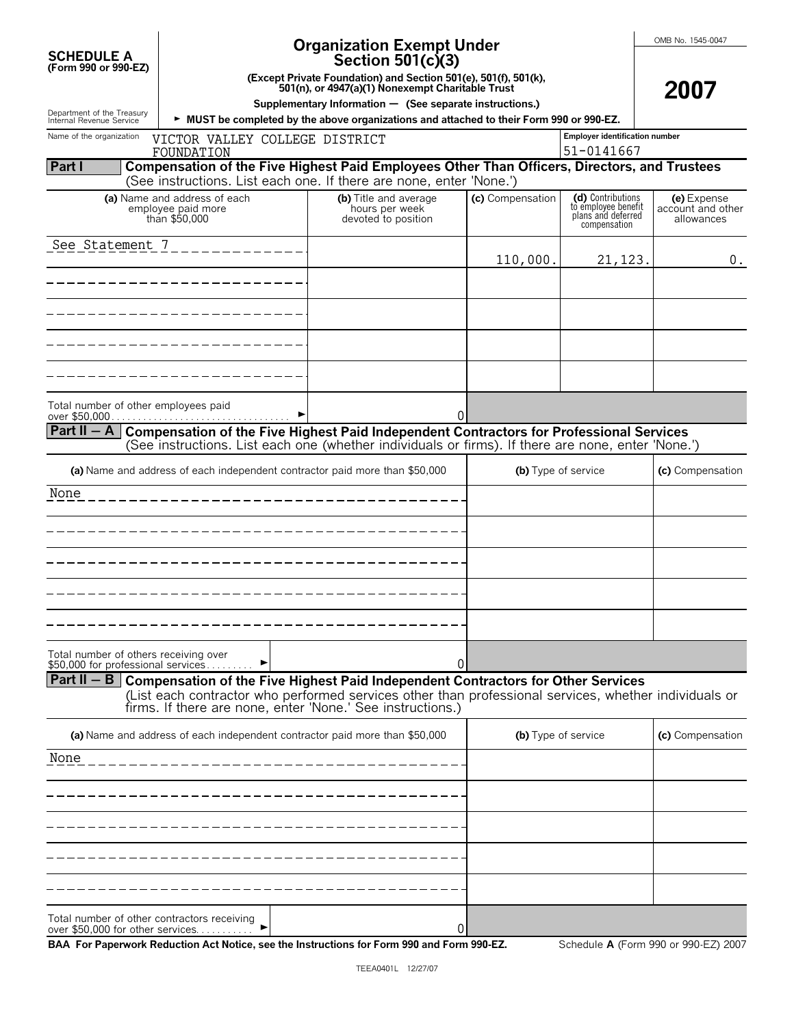| <b>SCHEDULE A</b><br>(Form 990 or 990-EZ)                                   |                                                                                                                                                        | OMB No. 1545-0047<br>2007                                                                                                                                           |                  |                                                                                |                                                |
|-----------------------------------------------------------------------------|--------------------------------------------------------------------------------------------------------------------------------------------------------|---------------------------------------------------------------------------------------------------------------------------------------------------------------------|------------------|--------------------------------------------------------------------------------|------------------------------------------------|
| Department of the Treasury                                                  | Supplementary Information $-$ (See separate instructions.)<br>> MUST be completed by the above organizations and attached to their Form 990 or 990-EZ. |                                                                                                                                                                     |                  |                                                                                |                                                |
| Internal Revenue Service<br>Name of the organization                        | <b>Employer identification number</b>                                                                                                                  |                                                                                                                                                                     |                  |                                                                                |                                                |
|                                                                             | VICTOR VALLEY COLLEGE DISTRICT<br>FOUNDATION                                                                                                           |                                                                                                                                                                     |                  | 51-0141667                                                                     |                                                |
| <b>Part I</b>                                                               |                                                                                                                                                        | Compensation of the Five Highest Paid Employees Other Than Officers, Directors, and Trustees<br>(See instructions. List each one. If there are none, enter 'None.') |                  |                                                                                |                                                |
|                                                                             | (a) Name and address of each<br>employee paid more<br>than \$50,000                                                                                    | (b) Title and average<br>hours per week<br>devoted to position                                                                                                      | (c) Compensation | (d) Contributions<br>to employee benefit<br>plans and deferred<br>compensation | (e) Expense<br>account and other<br>allowances |
| See Statement 7                                                             |                                                                                                                                                        |                                                                                                                                                                     | 110,000.         | 21,123.                                                                        | 0.                                             |
|                                                                             |                                                                                                                                                        |                                                                                                                                                                     |                  |                                                                                |                                                |
|                                                                             |                                                                                                                                                        |                                                                                                                                                                     |                  |                                                                                |                                                |
|                                                                             |                                                                                                                                                        |                                                                                                                                                                     |                  |                                                                                |                                                |
|                                                                             |                                                                                                                                                        |                                                                                                                                                                     |                  |                                                                                |                                                |
| Total number of other employees paid                                        |                                                                                                                                                        |                                                                                                                                                                     |                  |                                                                                |                                                |
| $Part II - A$                                                               |                                                                                                                                                        | Compensation of the Five Highest Paid Independent Contractors for Professional Services                                                                             | 0                |                                                                                |                                                |
|                                                                             | (a) Name and address of each independent contractor paid more than \$50,000                                                                            | (See instructions. List each one (whether individuals or firms). If there are none, enter 'None.')                                                                  |                  | (b) Type of service                                                            | (c) Compensation                               |
| None                                                                        |                                                                                                                                                        |                                                                                                                                                                     |                  |                                                                                |                                                |
|                                                                             |                                                                                                                                                        |                                                                                                                                                                     |                  |                                                                                |                                                |
|                                                                             |                                                                                                                                                        |                                                                                                                                                                     |                  |                                                                                |                                                |
|                                                                             |                                                                                                                                                        |                                                                                                                                                                     |                  |                                                                                |                                                |
|                                                                             |                                                                                                                                                        |                                                                                                                                                                     |                  |                                                                                |                                                |
|                                                                             |                                                                                                                                                        |                                                                                                                                                                     |                  |                                                                                |                                                |
| Total number of others receiving over<br>\$50,000 for professional services |                                                                                                                                                        | 0                                                                                                                                                                   |                  |                                                                                |                                                |
|                                                                             |                                                                                                                                                        | Part II $-$ B Compensation of the Five Highest Paid Independent Contractors for Other Services                                                                      |                  |                                                                                |                                                |
|                                                                             |                                                                                                                                                        | (List each contractor who performed services other than professional services, whether individuals or<br>firms. If there are none, enter 'None.' See instructions.) |                  |                                                                                |                                                |
|                                                                             | (a) Name and address of each independent contractor paid more than \$50,000                                                                            |                                                                                                                                                                     |                  | (b) Type of service                                                            | (c) Compensation                               |
| None                                                                        |                                                                                                                                                        |                                                                                                                                                                     |                  |                                                                                |                                                |
|                                                                             |                                                                                                                                                        |                                                                                                                                                                     |                  |                                                                                |                                                |
|                                                                             |                                                                                                                                                        |                                                                                                                                                                     |                  |                                                                                |                                                |
|                                                                             |                                                                                                                                                        |                                                                                                                                                                     |                  |                                                                                |                                                |
|                                                                             |                                                                                                                                                        |                                                                                                                                                                     |                  |                                                                                |                                                |
| Total number of other contractors receiving                                 |                                                                                                                                                        |                                                                                                                                                                     |                  |                                                                                |                                                |
| over \$50,000 for other services                                            |                                                                                                                                                        |                                                                                                                                                                     | 0                |                                                                                |                                                |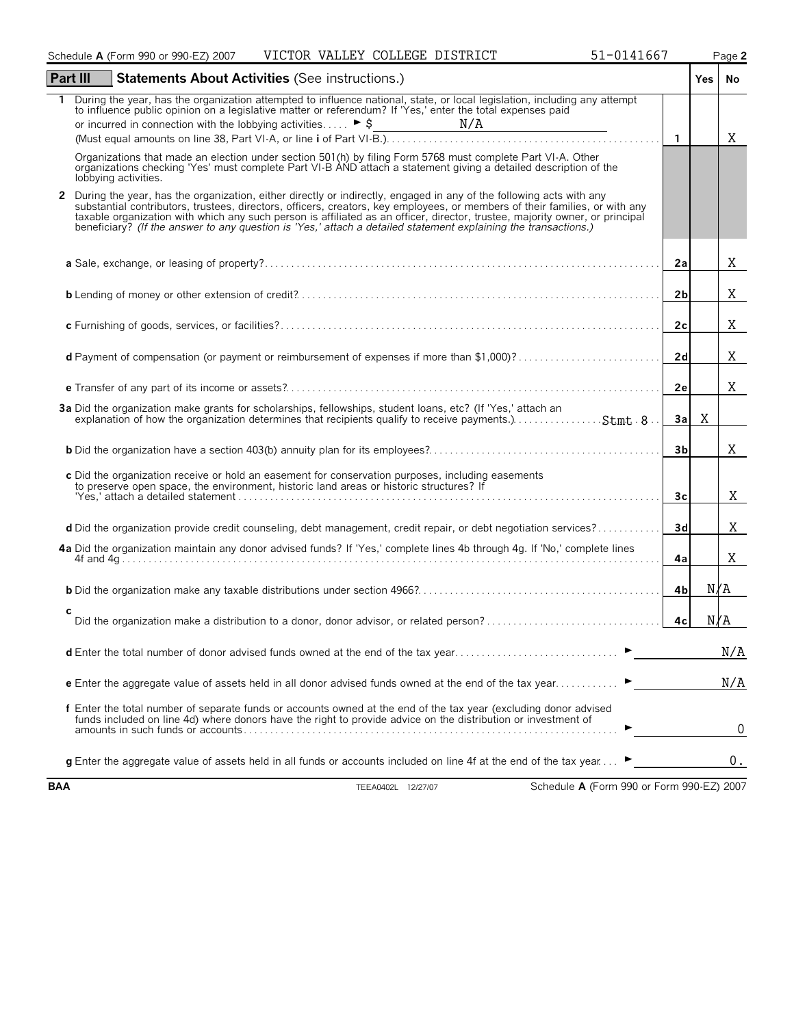|          | Schedule A (Form 990 or 990-EZ) 2007 VICTOR VALLEY COLLEGE DISTRICT<br>51-0141667                                                                                                                                                                                                                                                                                                                                                                                                                                                                                                                                                                 |                |        | Page 2 |
|----------|---------------------------------------------------------------------------------------------------------------------------------------------------------------------------------------------------------------------------------------------------------------------------------------------------------------------------------------------------------------------------------------------------------------------------------------------------------------------------------------------------------------------------------------------------------------------------------------------------------------------------------------------------|----------------|--------|--------|
| Part III | <b>Statements About Activities (See instructions.)</b>                                                                                                                                                                                                                                                                                                                                                                                                                                                                                                                                                                                            |                | Yes No |        |
|          | During the year, has the organization attempted to influence national, state, or local legislation, including any attempt<br>to influence public opinion on a legislative matter or referendum? If 'Yes,' enter the total expenses paid<br><u> 1989 - Johann Barbara, martin a</u><br>Organizations that made an election under section 501(h) by filing Form 5768 must complete Part VI-A. Other                                                                                                                                                                                                                                                 | $\overline{1}$ |        | X      |
| 2        | organizations checking 'Yes' must complete Part VI-B AND attach a statement giving a detailed description of the<br>lobbying activities.<br>During the year, has the organization, either directly or indirectly, engaged in any of the following acts with any<br>substantial contributors, trustees, directors, officers, creators, key employees, or members of their families, or with any<br>taxable organization with which any such person is affiliated as an officer, director, trustee, majority owner, or principal<br>beneficiary? (If the answer to any question is 'Yes,' attach a detailed statement explaining the transactions.) |                |        |        |
|          |                                                                                                                                                                                                                                                                                                                                                                                                                                                                                                                                                                                                                                                   | 2a             |        | Χ      |
|          |                                                                                                                                                                                                                                                                                                                                                                                                                                                                                                                                                                                                                                                   | 2 <sub>b</sub> |        | Χ      |
|          |                                                                                                                                                                                                                                                                                                                                                                                                                                                                                                                                                                                                                                                   | 2 <sub>c</sub> |        | Χ      |
|          | d Payment of compensation (or payment or reimbursement of expenses if more than \$1,000)?                                                                                                                                                                                                                                                                                                                                                                                                                                                                                                                                                         | 2d             |        | Χ      |
|          |                                                                                                                                                                                                                                                                                                                                                                                                                                                                                                                                                                                                                                                   | 2e             |        | Χ      |
|          | 3a Did the organization make grants for scholarships, fellowships, student loans, etc? (If 'Yes,' attach an                                                                                                                                                                                                                                                                                                                                                                                                                                                                                                                                       | 3a             | X      |        |
|          |                                                                                                                                                                                                                                                                                                                                                                                                                                                                                                                                                                                                                                                   | 3b             |        | X      |
|          | c Did the organization receive or hold an easement for conservation purposes, including easements<br>to preserve open space, the environment, historic land areas or historic structures? If                                                                                                                                                                                                                                                                                                                                                                                                                                                      | 3 <sub>c</sub> |        | X      |
|          | d Did the organization provide credit counseling, debt management, credit repair, or debt negotiation services?                                                                                                                                                                                                                                                                                                                                                                                                                                                                                                                                   | 3d             |        | X      |
|          | 4a Did the organization maintain any donor advised funds? If 'Yes,' complete lines 4b through 4g. If 'No,' complete lines                                                                                                                                                                                                                                                                                                                                                                                                                                                                                                                         | 4a             |        | Χ      |
|          |                                                                                                                                                                                                                                                                                                                                                                                                                                                                                                                                                                                                                                                   | 4b             | N/A    |        |
| с        |                                                                                                                                                                                                                                                                                                                                                                                                                                                                                                                                                                                                                                                   | 4c             | N/A    |        |
|          | d Enter the total number of donor advised funds owned at the end of the tax year                                                                                                                                                                                                                                                                                                                                                                                                                                                                                                                                                                  |                |        | N/A    |
|          | e Enter the aggregate value of assets held in all donor advised funds owned at the end of the tax year                                                                                                                                                                                                                                                                                                                                                                                                                                                                                                                                            |                |        | N/A    |
|          | f Enter the total number of separate funds or accounts owned at the end of the tax year (excluding donor advised<br>funds included on line 4d) where donors have the right to provide advice on the distribution or investment of                                                                                                                                                                                                                                                                                                                                                                                                                 |                |        | 0      |
|          | <b>g</b> Enter the aggregate value of assets held in all funds or accounts included on line 4f at the end of the tax year ▶                                                                                                                                                                                                                                                                                                                                                                                                                                                                                                                       |                |        | 0.     |

**BAA** TEEA0402L 12/27/07 Schedule **A** (Form 990 or Form 990-EZ) 2007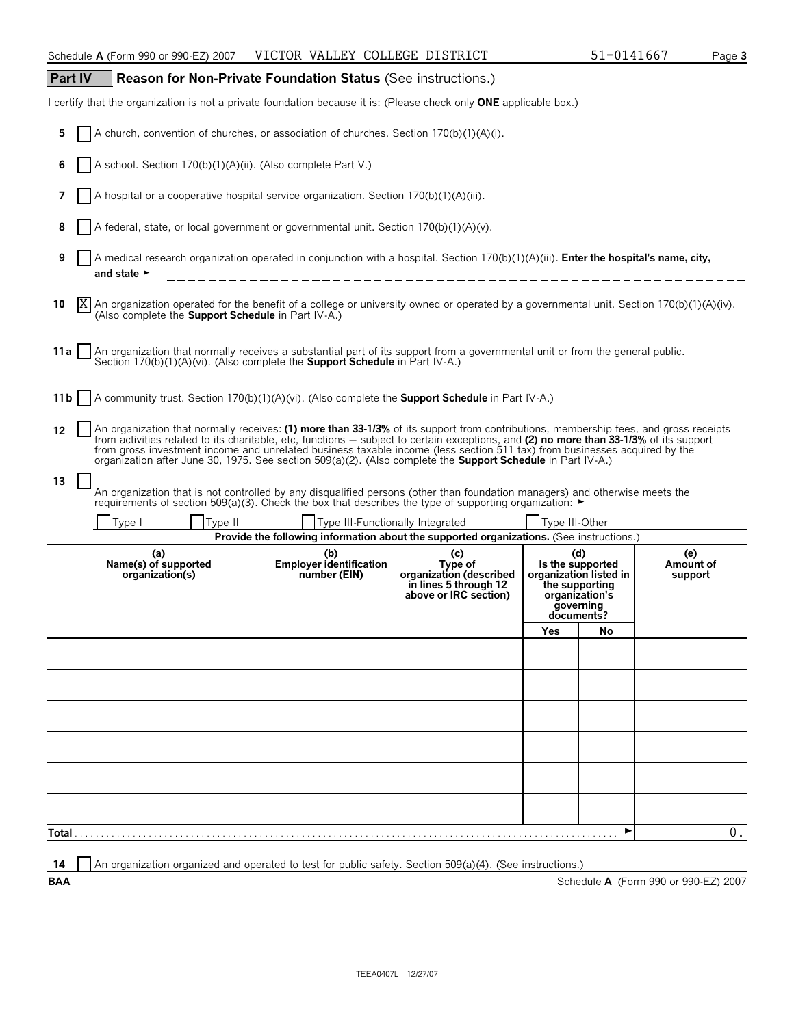| Part IV | <b>Reason for Non-Private Foundation Status (See instructions.)</b>                                                                                                                                                                                                                                                                                                                                                                                                                                                               |                                                       |                                                                                             |                                                                                        |                        |                             |
|---------|-----------------------------------------------------------------------------------------------------------------------------------------------------------------------------------------------------------------------------------------------------------------------------------------------------------------------------------------------------------------------------------------------------------------------------------------------------------------------------------------------------------------------------------|-------------------------------------------------------|---------------------------------------------------------------------------------------------|----------------------------------------------------------------------------------------|------------------------|-----------------------------|
|         | certify that the organization is not a private foundation because it is: (Please check only <b>ONE</b> applicable box.)                                                                                                                                                                                                                                                                                                                                                                                                           |                                                       |                                                                                             |                                                                                        |                        |                             |
| 5       | A church, convention of churches, or association of churches. Section 170(b)(1)(A)(i).                                                                                                                                                                                                                                                                                                                                                                                                                                            |                                                       |                                                                                             |                                                                                        |                        |                             |
| 6       | A school. Section 170(b)(1)(A)(ii). (Also complete Part V.)                                                                                                                                                                                                                                                                                                                                                                                                                                                                       |                                                       |                                                                                             |                                                                                        |                        |                             |
| 7       | A hospital or a cooperative hospital service organization. Section 170(b)(1)(A)(iii).                                                                                                                                                                                                                                                                                                                                                                                                                                             |                                                       |                                                                                             |                                                                                        |                        |                             |
| 8       | A federal, state, or local government or governmental unit. Section 170(b)(1)(A)(v).                                                                                                                                                                                                                                                                                                                                                                                                                                              |                                                       |                                                                                             |                                                                                        |                        |                             |
| 9       | A medical research organization operated in conjunction with a hospital. Section 170(b)(1)(A)(iii). Enter the hospital's name, city,<br>and state $\blacktriangleright$                                                                                                                                                                                                                                                                                                                                                           |                                                       |                                                                                             |                                                                                        |                        |                             |
| 10      | IX.<br>An organization operated for the benefit of a college or university owned or operated by a governmental unit. Section 170(b)(1)(A)(iv).<br>(Also complete the <b>Support Schedule</b> in Part IV-A.)                                                                                                                                                                                                                                                                                                                       |                                                       |                                                                                             |                                                                                        |                        |                             |
| 11a     | An organization that normally receives a substantial part of its support from a governmental unit or from the general public.<br>Section 170(b)(1)(A)(vi). (Also complete the <b>Support Schedule</b> in Part IV-A.)                                                                                                                                                                                                                                                                                                              |                                                       |                                                                                             |                                                                                        |                        |                             |
| 11 b    | A community trust. Section 170(b)(1)(A)(vi). (Also complete the <b>Support Schedule</b> in Part IV-A.)                                                                                                                                                                                                                                                                                                                                                                                                                            |                                                       |                                                                                             |                                                                                        |                        |                             |
| 12      | An organization that normally receives: (1) more than 33-1/3% of its support from contributions, membership fees, and gross receipts<br>from activities related to its charitable, etc, functions – subject to certain exceptions, and (2) no more than 33-1/3% of its support<br>from gross investment income and unrelated business taxable income (less section 511 tax) from businesses acquired by the<br>organization after June 30, 1975. See section 509(a)(2). (Also complete the <b>Support Schedule</b> in Part IV-A.) |                                                       |                                                                                             |                                                                                        |                        |                             |
| 13      | An organization that is not controlled by any disqualified persons (other than foundation managers) and otherwise meets the<br>requirements of section 509(a)(3). Check the box that describes the type of supporting organization: ►                                                                                                                                                                                                                                                                                             |                                                       |                                                                                             |                                                                                        |                        |                             |
|         | Type I<br>Type II                                                                                                                                                                                                                                                                                                                                                                                                                                                                                                                 |                                                       | Type III-Functionally Integrated                                                            | Type III-Other                                                                         |                        |                             |
|         |                                                                                                                                                                                                                                                                                                                                                                                                                                                                                                                                   |                                                       | Provide the following information about the supported organizations. (See instructions.)    |                                                                                        |                        |                             |
|         | (a)<br>Name(s) of supported<br>organization(s)                                                                                                                                                                                                                                                                                                                                                                                                                                                                                    | (b)<br><b>Employer identification</b><br>number (EIN) | (c)<br>Type of<br>organization (described<br>in lines 5 through 12<br>above or IRC section) | (d)<br>Is the supported<br>the supporting<br>organization's<br>governing<br>documents? | organization listed in | (e)<br>Amount of<br>support |
|         |                                                                                                                                                                                                                                                                                                                                                                                                                                                                                                                                   |                                                       |                                                                                             | Yes                                                                                    | No                     |                             |
|         |                                                                                                                                                                                                                                                                                                                                                                                                                                                                                                                                   |                                                       |                                                                                             |                                                                                        |                        |                             |
|         |                                                                                                                                                                                                                                                                                                                                                                                                                                                                                                                                   |                                                       |                                                                                             |                                                                                        |                        |                             |
|         |                                                                                                                                                                                                                                                                                                                                                                                                                                                                                                                                   |                                                       |                                                                                             |                                                                                        |                        |                             |
|         |                                                                                                                                                                                                                                                                                                                                                                                                                                                                                                                                   |                                                       |                                                                                             |                                                                                        |                        |                             |
|         |                                                                                                                                                                                                                                                                                                                                                                                                                                                                                                                                   |                                                       |                                                                                             |                                                                                        |                        |                             |

0.

**14** An organization organized and operated to test for public safety. Section 509(a)(4). (See instructions.)

**Total** . . . . . . . . . . . . . . . . . . . . . . . . . . . . . . . . . . . . . . . . . . . . . . . . . . . . . . . . . . . . . . . . . . . . . . . . . . . . . . . . . . . . . . . . . . . . . . . . . . . . . . . G

**BAA** Schedule **A** (Form 990 or 990-EZ) 2007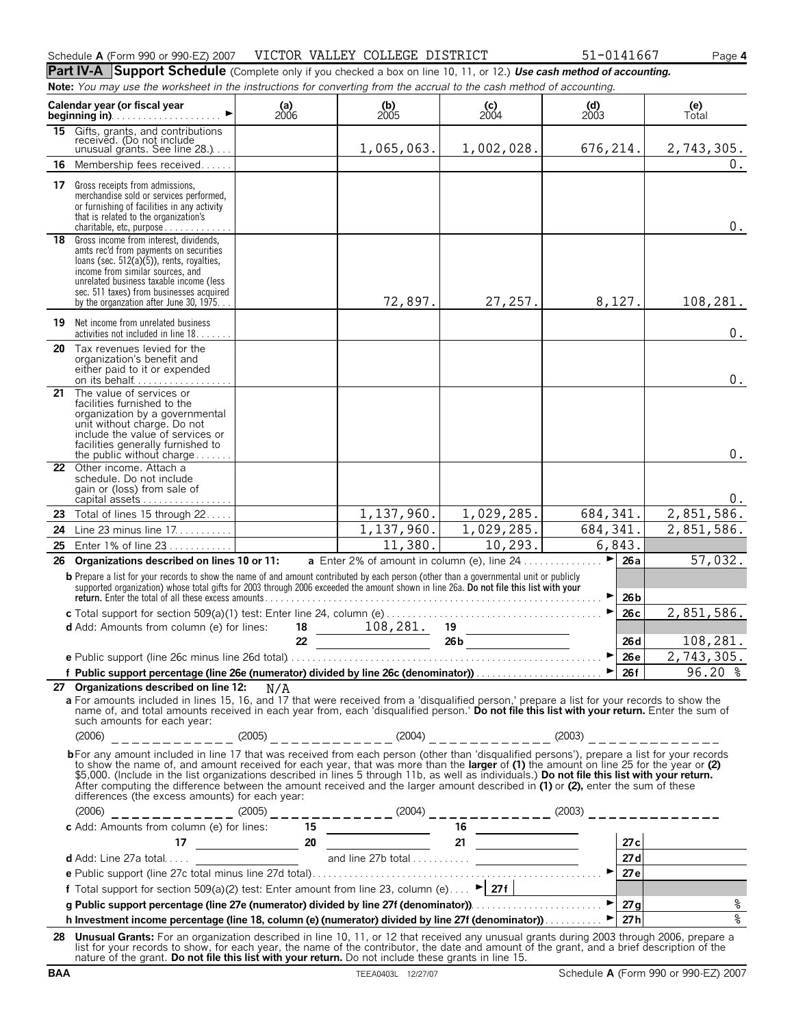|    | Part IV-A Support Schedule (Complete only if you checked a box on line 10, 11, or 12.) Use cash method of accounting.                                                                                                                                                                                                                                                                                                                                                                                                                                                        |               |                                                              |                                                              |                                                              |                        |                                   |  |
|----|------------------------------------------------------------------------------------------------------------------------------------------------------------------------------------------------------------------------------------------------------------------------------------------------------------------------------------------------------------------------------------------------------------------------------------------------------------------------------------------------------------------------------------------------------------------------------|---------------|--------------------------------------------------------------|--------------------------------------------------------------|--------------------------------------------------------------|------------------------|-----------------------------------|--|
|    | Note: You may use the worksheet in the instructions for converting from the accrual to the cash method of accounting.                                                                                                                                                                                                                                                                                                                                                                                                                                                        |               |                                                              |                                                              |                                                              |                        |                                   |  |
|    | Calendar year (or fiscal year<br><b>beginning in)</b> $\ldots$ $\ldots$ $\ldots$ $\ldots$ $\ldots$                                                                                                                                                                                                                                                                                                                                                                                                                                                                           | (a)<br>$2006$ | $\begin{array}{c} \textbf{(b)} \\ \textbf{2005} \end{array}$ | $\begin{array}{c} \textbf{(c)} \\ \textbf{2004} \end{array}$ | $\begin{array}{c} \textbf{(d)} \\ \textbf{2003} \end{array}$ |                        | (e)<br>Total                      |  |
|    | 15 Gifts, grants, and contributions<br>received. (Do not include<br>unusual grants. See line $28$ .)                                                                                                                                                                                                                                                                                                                                                                                                                                                                         |               | 1,065,063.                                                   | 1,002,028.                                                   | 676,214.                                                     |                        | 2,743,305.                        |  |
| 16 | Membership fees received                                                                                                                                                                                                                                                                                                                                                                                                                                                                                                                                                     |               |                                                              |                                                              |                                                              |                        | 0.                                |  |
| 17 | Gross receipts from admissions,<br>merchandise sold or services performed,<br>or furnishing of facilities in any activity<br>that is related to the organization's<br>charitable, etc, purpose $\ldots$ ,                                                                                                                                                                                                                                                                                                                                                                    |               |                                                              |                                                              |                                                              |                        | $0$ .                             |  |
|    | 18 Gross income from interest, dividends,<br>amts rec'd from payments on securities<br>loans (sec. $512(a)(5)$ ), rents, royalties,<br>income from similar sources, and<br>unrelated business taxable income (less<br>sec. 511 taxes) from businesses acquired<br>by the organzation after June 30, 1975                                                                                                                                                                                                                                                                     |               | 72,897.                                                      | 27,257.                                                      | 8,127.                                                       |                        | 108,281.                          |  |
|    | <b>19</b> Net income from unrelated business<br>activities not included in line 18.                                                                                                                                                                                                                                                                                                                                                                                                                                                                                          |               |                                                              |                                                              |                                                              |                        | $0$ .                             |  |
| 20 | Tax revenues levied for the<br>organization's benefit and<br>either paid to it or expended<br>on its behalf                                                                                                                                                                                                                                                                                                                                                                                                                                                                  |               |                                                              |                                                              |                                                              |                        | $0$ .                             |  |
| 21 | The value of services or<br>facilities furnished to the<br>organization by a governmental<br>unit without charge. Do not<br>include the value of services or<br>facilities generally furnished to<br>the public without charge                                                                                                                                                                                                                                                                                                                                               |               |                                                              |                                                              |                                                              |                        | 0.                                |  |
|    | 22 Other income, Attach a<br>schedule. Do not include<br>gain or (loss) from sale of<br>capital assets                                                                                                                                                                                                                                                                                                                                                                                                                                                                       |               |                                                              |                                                              |                                                              |                        | 0.                                |  |
| 23 | Total of lines 15 through 22                                                                                                                                                                                                                                                                                                                                                                                                                                                                                                                                                 |               | 1,137,960.                                                   | 1,029,285.                                                   | 684, 341.                                                    |                        | 2,851,586.                        |  |
| 24 | Line 23 minus line 17.                                                                                                                                                                                                                                                                                                                                                                                                                                                                                                                                                       |               | 1,137,960.                                                   | 1,029,285.                                                   | 684, 341.                                                    |                        | 2,851,586.                        |  |
| 25 | Enter 1% of line 23                                                                                                                                                                                                                                                                                                                                                                                                                                                                                                                                                          |               | 11,380.                                                      | 10,293.                                                      |                                                              | 6,843.                 |                                   |  |
| 26 | Organizations described on lines 10 or 11:<br><b>b</b> Prepare a list for your records to show the name of and amount contributed by each person (other than a governmental unit or publicly<br>supported organization) whose total gifts for 2003 through 2006 exceeded the amount shown in line 26a. Do not file this list with your                                                                                                                                                                                                                                       |               | a Enter 2% of amount in column (e), line 24.                 |                                                              | ▶<br>▶                                                       | 26a<br>26 <sub>b</sub> | 57,032.                           |  |
|    |                                                                                                                                                                                                                                                                                                                                                                                                                                                                                                                                                                              |               |                                                              |                                                              | ▶                                                            | 26с                    | 2,851,586.                        |  |
|    | <b>d</b> Add: Amounts from column (e) for lines:                                                                                                                                                                                                                                                                                                                                                                                                                                                                                                                             | 18<br>22      | 108, 281.                                                    | 19<br>$\frac{26b}{\sqrt{1-\frac{b}{2}}}$                     |                                                              | 26d                    | 108,281.                          |  |
|    |                                                                                                                                                                                                                                                                                                                                                                                                                                                                                                                                                                              |               |                                                              |                                                              |                                                              |                        |                                   |  |
|    | f Public support percentage (line 26e (numerator) divided by line 26c (denominator))<br>■ 26f 26f 26.20 %                                                                                                                                                                                                                                                                                                                                                                                                                                                                    |               |                                                              |                                                              |                                                              |                        |                                   |  |
|    | 27 Organizations described on line 12: $N/A$<br>a For amounts included in lines 15, 16, and 17 that were received from a 'disqualified person,' prepare a list for your records to show the<br>name of, and total amounts received in each year from, each 'disqualified person.' Do not file this list with your return. Enter the sum of<br>such amounts for each year:<br>$(2006)$ ___________ $(2005)$ ________ $(2005)$                                                                                                                                                 |               |                                                              |                                                              |                                                              |                        |                                   |  |
|    | bFor any amount included in line 17 that was received from each person (other than 'disqualified persons'), prepare a list for your records<br>to show the name of, and amount received for each year, that was more than the <b>larger</b> of (1) the amount on line 25 for the year or (2)<br>\$5,000. (Include in the list organizations described in lines 5 through 11b, as well<br>After computing the difference between the amount received and the larger amount described in (1) or (2), enter the sum of these<br>differences (the excess amounts) for each year: |               |                                                              |                                                              |                                                              |                        |                                   |  |
|    |                                                                                                                                                                                                                                                                                                                                                                                                                                                                                                                                                                              |               |                                                              |                                                              |                                                              |                        |                                   |  |
|    |                                                                                                                                                                                                                                                                                                                                                                                                                                                                                                                                                                              |               |                                                              |                                                              |                                                              |                        | 27c                               |  |
|    |                                                                                                                                                                                                                                                                                                                                                                                                                                                                                                                                                                              |               |                                                              |                                                              |                                                              |                        | 27d                               |  |
|    |                                                                                                                                                                                                                                                                                                                                                                                                                                                                                                                                                                              |               |                                                              |                                                              |                                                              |                        | <u>27e</u>                        |  |
|    | f Total support for section 509(a)(2) test: Enter amount from line 23, column (e) $\blacktriangleright$ 27f                                                                                                                                                                                                                                                                                                                                                                                                                                                                  |               |                                                              |                                                              |                                                              |                        | the company of the company of the |  |
|    | g Public support percentage (line 27e (numerator) divided by line 27f (denominator)).                                                                                                                                                                                                                                                                                                                                                                                                                                                                                        |               |                                                              |                                                              |                                                              |                        | $\,$ $\,$                         |  |
|    | h Investment income percentage (line 18, column (e) (numerator) divided by line 27f (denominator))                                                                                                                                                                                                                                                                                                                                                                                                                                                                           |               |                                                              |                                                              |                                                              | 27h                    | $\frac{1}{6}$                     |  |
| 28 | Unusual Grants: For an organization described in line 10, 11, or 12 that received any unusual grants during 2003 through 2006, prepare a<br>list for your records to show, for each year, the name of the contributor, the date and amount of the grant, and a brief description of the<br>nature of the grant. Do not file this list with your return. Do not include these grants in line 15.                                                                                                                                                                              |               |                                                              |                                                              |                                                              |                        |                                   |  |

Schedule **A** (Form 990 or 990-EZ) 2007 Page **4** VICTOR VALLEY COLLEGE DISTRICT 51-0141667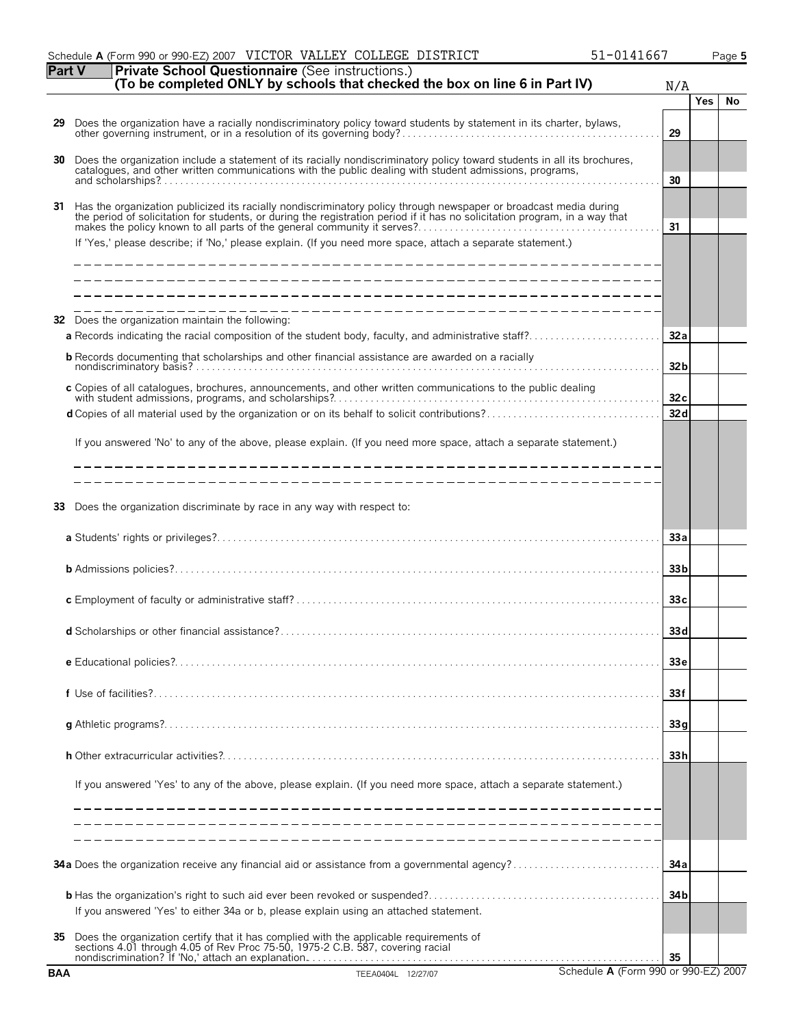|    | Schedule A (Form 990 or 990-EZ) 2007 VICTOR VALLEY COLLEGE DISTRICT<br>51-0141667                                                                                                                                                                |                 |            | Page 5 |
|----|--------------------------------------------------------------------------------------------------------------------------------------------------------------------------------------------------------------------------------------------------|-----------------|------------|--------|
|    | Part V<br>Private School Questionnaire (See instructions.)<br>(To be completed ONLY by schools that checked the box on line 6 in Part IV)                                                                                                        | N/A             |            |        |
|    |                                                                                                                                                                                                                                                  |                 | <b>Yes</b> | No     |
| 29 |                                                                                                                                                                                                                                                  | 29              |            |        |
| 30 | Does the organization include a statement of its racially nondiscriminatory policy toward students in all its brochures, catalogues, and other written communications with the public dealing with student admissions, program                   | 30              |            |        |
|    |                                                                                                                                                                                                                                                  |                 |            |        |
| 31 | Has the organization publicized its racially nondiscriminatory policy through newspaper or broadcast media during<br>the period of solicitation for students, or during the registration period if it has no solicitation program, in a way that | 31              |            |        |
|    | If 'Yes,' please describe; if 'No,' please explain. (If you need more space, attach a separate statement.)                                                                                                                                       |                 |            |        |
|    |                                                                                                                                                                                                                                                  |                 |            |        |
| 32 | Does the organization maintain the following:<br>a Records indicating the racial composition of the student body, faculty, and administrative staff?                                                                                             | 32a             |            |        |
|    | <b>b</b> Records documenting that scholarships and other financial assistance are awarded on a racially                                                                                                                                          | 32 <sub>b</sub> |            |        |
|    | c Copies of all catalogues, brochures, announcements, and other written communications to the public dealing                                                                                                                                     | 32c             |            |        |
|    |                                                                                                                                                                                                                                                  | 32d             |            |        |
|    | If you answered 'No' to any of the above, please explain. (If you need more space, attach a separate statement.)<br>_______________________________                                                                                              |                 |            |        |
|    |                                                                                                                                                                                                                                                  |                 |            |        |
| 33 | Does the organization discriminate by race in any way with respect to:                                                                                                                                                                           |                 |            |        |
|    |                                                                                                                                                                                                                                                  | 33a             |            |        |
|    |                                                                                                                                                                                                                                                  | 33 <sub>b</sub> |            |        |
|    |                                                                                                                                                                                                                                                  | 33c             |            |        |
|    | d Scholarships or other financial assistance?                                                                                                                                                                                                    | 33d             |            |        |
|    |                                                                                                                                                                                                                                                  | 33 <sub>e</sub> |            |        |
|    |                                                                                                                                                                                                                                                  | 33f             |            |        |
|    |                                                                                                                                                                                                                                                  | 33q             |            |        |
|    |                                                                                                                                                                                                                                                  | 33h             |            |        |
|    | If you answered 'Yes' to any of the above, please explain. (If you need more space, attach a separate statement.)                                                                                                                                |                 |            |        |
|    |                                                                                                                                                                                                                                                  |                 |            |        |
|    | <b>34a</b> Does the organization receive any financial aid or assistance from a governmental agency?                                                                                                                                             | 34 a            |            |        |
|    | If you answered 'Yes' to either 34a or b, please explain using an attached statement.                                                                                                                                                            | 34 <sub>b</sub> |            |        |
| 35 | Does the organization certify that it has complied with the applicable requirements of sections 4.01 through 4.05 of Rev Proc 75-50, 1975-2 C.B. 587, covering racial                                                                            | 35              |            |        |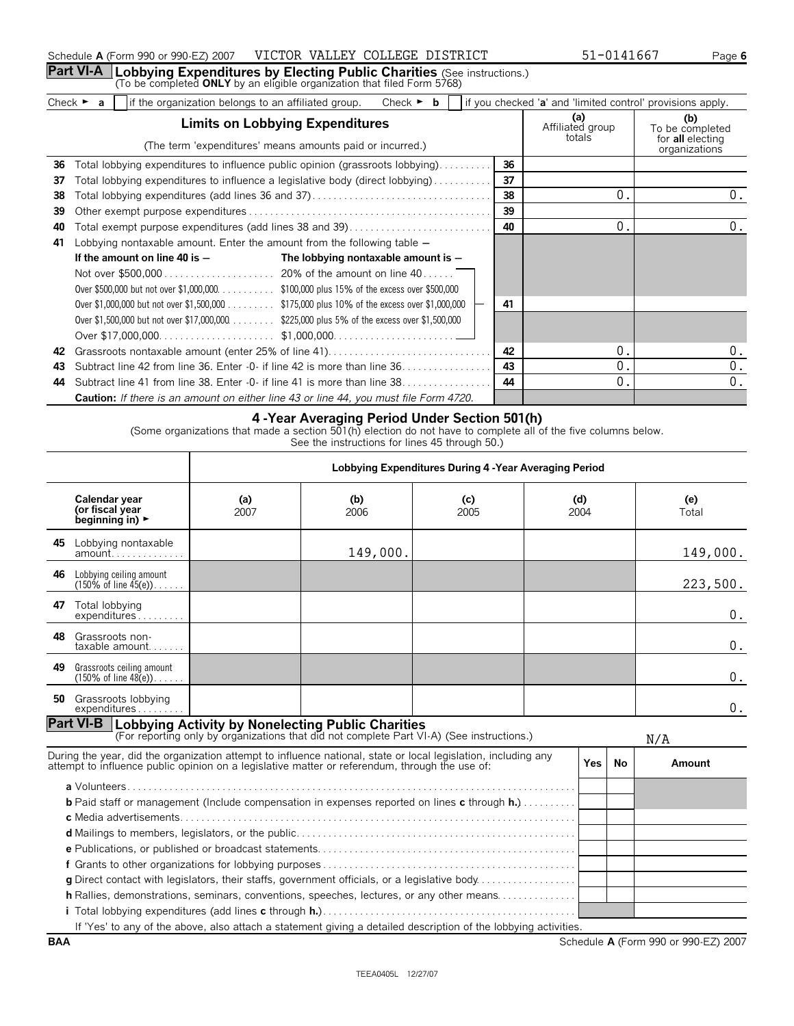## **Part VI-A | Lobbying Expenditures by Electing Public Charities** (See instructions.)<br>(To be completed **ONLY** by an eligible organization that filed Form 5768)

| imite on Lohhving Evnenditures |  |                                                       | $A = C C 1 1 1$ |  |                                                             |  |
|--------------------------------|--|-------------------------------------------------------|-----------------|--|-------------------------------------------------------------|--|
| Check                          |  | e organization belongs to an affiliated group.<br>the | Check           |  | lif you checked 'a' and 'limited control' provisions apply. |  |

|    | <b>Limits on Lobbying Expenditures</b>                                                       |    | (a)<br>Affiliated group | (b)<br>To be completed                   |
|----|----------------------------------------------------------------------------------------------|----|-------------------------|------------------------------------------|
|    | (The term 'expenditures' means amounts paid or incurred.)                                    |    | totals                  | for <b>all</b> electing<br>organizations |
| 36 | Total lobbying expenditures to influence public opinion (grassroots lobbying)                | 36 |                         |                                          |
| 37 | Total lobbying expenditures to influence a legislative body (direct lobbying)                | 37 |                         |                                          |
| 38 |                                                                                              | 38 | 0.                      | 0.                                       |
| 39 |                                                                                              | 39 |                         |                                          |
| 40 | Total exempt purpose expenditures (add lines 38 and 39)                                      | 40 | 0.                      | 0.                                       |
| 41 | Lobbying nontaxable amount. Enter the amount from the following table -                      |    |                         |                                          |
|    | If the amount on line 40 is $-$<br>The lobbying nontaxable amount is $-$                     |    |                         |                                          |
|    |                                                                                              |    |                         |                                          |
|    | Over \$500,000 but not over \$1,000,000. \$100,000 plus 15% of the excess over \$500,000     |    |                         |                                          |
|    | Over \$1,000,000 but not over \$1,500,000 \$175,000 plus 10% of the excess over \$1,000,000  | 41 |                         |                                          |
|    | Over \$1,500,000 but not over \$17,000,000. \$225,000 plus 5% of the excess over \$1,500,000 |    |                         |                                          |
|    |                                                                                              |    |                         |                                          |
| 42 |                                                                                              | 42 | 0.                      | 0.                                       |
| 43 | Subtract line 42 from line 36. Enter -0- if line 42 is more than line 36.                    | 43 | 0.                      | 0.                                       |
| 44 | Subtract line 41 from line 38. Enter -0- if line 41 is more than line 38.                    | 44 | 0.                      | 0.                                       |
|    | Caution: If there is an amount on either line 43 or line 44, you must file Form 4720.        |    |                         |                                          |

## **4 -Year Averaging Period Under Section 501(h)**

(Some organizations that made a section 501(h) election do not have to complete all of the five columns below.

See the instructions for lines 45 through 50.)

|     |                                                                                                                                                                                                                  | Lobbying Expenditures During 4 - Year Averaging Period |                                                                                           |             |             |            |    |          |  |  |  |  |  |              |
|-----|------------------------------------------------------------------------------------------------------------------------------------------------------------------------------------------------------------------|--------------------------------------------------------|-------------------------------------------------------------------------------------------|-------------|-------------|------------|----|----------|--|--|--|--|--|--------------|
|     | Calendar year<br>(or fiscal year<br>beginning in) $\blacktriangleright$                                                                                                                                          | (a)<br>2007                                            | (b)<br>2006                                                                               | (c)<br>2005 | (d)<br>2004 |            |    |          |  |  |  |  |  | (e)<br>Total |
|     | 45 Lobbying nontaxable                                                                                                                                                                                           |                                                        | 149,000.                                                                                  |             |             |            |    |          |  |  |  |  |  | 149,000.     |
| 46. | Lobbying ceiling amount<br>$(150\% \text{ of line } 45(e))$                                                                                                                                                      |                                                        |                                                                                           |             |             |            |    | 223,500. |  |  |  |  |  |              |
| 47  | Total lobbying<br>expenditures                                                                                                                                                                                   |                                                        |                                                                                           |             |             |            |    | 0.       |  |  |  |  |  |              |
| 48  | Grassroots non-<br>$taxable$ amount                                                                                                                                                                              |                                                        |                                                                                           |             |             |            |    | 0.       |  |  |  |  |  |              |
| 49  | Grassroots ceiling amount<br>$(150\% \text{ of line } 48(e))$                                                                                                                                                    |                                                        |                                                                                           |             |             |            |    | 0.       |  |  |  |  |  |              |
|     | <b>50</b> Grassroots lobbying<br>expenditures                                                                                                                                                                    |                                                        |                                                                                           |             |             |            |    | 0.       |  |  |  |  |  |              |
|     | <b>Part VI-B Lobbying Activity by Nonelecting Public Charities</b>                                                                                                                                               |                                                        | (For reporting only by organizations that did not complete Part VI-A) (See instructions.) |             |             |            |    | N/A      |  |  |  |  |  |              |
|     | During the year, did the organization attempt to influence national, state or local legislation, including any<br>attempt to influence public opinion on a legislative matter or referendum, through the use of: |                                                        |                                                                                           |             |             | <b>Yes</b> | No | Amount   |  |  |  |  |  |              |
|     | <b>b</b> Paid staff or management (Include compensation in expenses reported on lines c through $h,$ )<br>c Media advertisements.                                                                                |                                                        |                                                                                           |             |             |            |    |          |  |  |  |  |  |              |
|     |                                                                                                                                                                                                                  |                                                        |                                                                                           |             |             |            |    |          |  |  |  |  |  |              |
|     |                                                                                                                                                                                                                  |                                                        |                                                                                           |             |             |            |    |          |  |  |  |  |  |              |
|     |                                                                                                                                                                                                                  |                                                        |                                                                                           |             |             |            |    |          |  |  |  |  |  |              |
|     | g Direct contact with legislators, their staffs, government officials, or a legislative body                                                                                                                     |                                                        |                                                                                           |             |             |            |    |          |  |  |  |  |  |              |
|     | h Rallies, demonstrations, seminars, conventions, speeches, lectures, or any other means                                                                                                                         |                                                        |                                                                                           |             |             |            |    |          |  |  |  |  |  |              |
|     |                                                                                                                                                                                                                  |                                                        |                                                                                           |             |             |            |    |          |  |  |  |  |  |              |
|     | If 'Yes' to any of the above, also attach a statement giving a detailed description of the lobbying activities.                                                                                                  |                                                        |                                                                                           |             |             |            |    |          |  |  |  |  |  |              |

**BAA** Schedule **A** (Form 990 or 990-EZ) 2007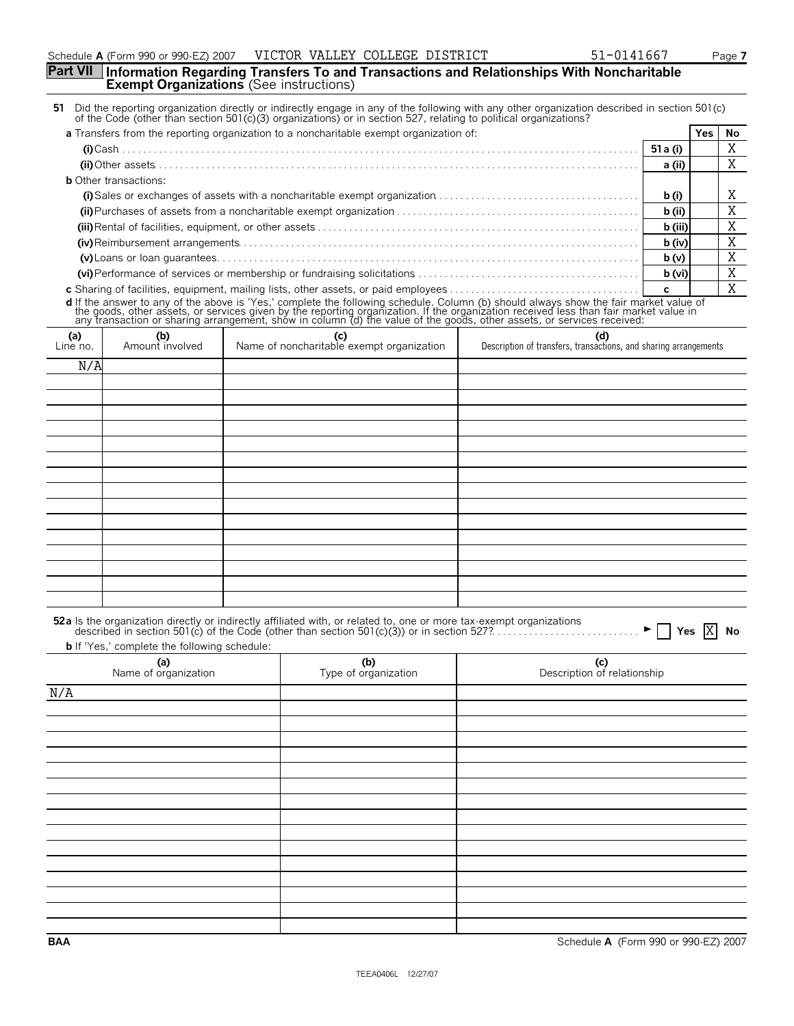## **Part VII Information Regarding Transfers To and Transactions and Relationships With Noncharitable Exempt Organizations** (See instructions)

| 51 Did the reporting organization directly or indirectly engage in any of the following with any other organization described in section 501(c)<br>of the Code (other than section 501 $(c)(3)$ organizations) or in section 527, relating to political organizations? |  |
|------------------------------------------------------------------------------------------------------------------------------------------------------------------------------------------------------------------------------------------------------------------------|--|
|                                                                                                                                                                                                                                                                        |  |

| a Transfers from the reporting organization to a noncharitable exempt organization of:                                              |          | Yes. | Νo |
|-------------------------------------------------------------------------------------------------------------------------------------|----------|------|----|
|                                                                                                                                     | 51 a (i) |      |    |
|                                                                                                                                     | a (ii)   |      |    |
| <b>b</b> Other transactions:                                                                                                        |          |      |    |
| (i) Sales or exchanges of assets with a noncharitable exempt organization $\ldots \ldots \ldots \ldots \ldots \ldots \ldots \ldots$ | b (i)    |      |    |
|                                                                                                                                     | b (ii)   |      |    |
|                                                                                                                                     | b (iii)  |      |    |
|                                                                                                                                     | b (iv)   |      |    |
|                                                                                                                                     | b(v)     |      |    |
|                                                                                                                                     | b (vi)   |      |    |
|                                                                                                                                     |          |      |    |

**c** Sharing of facilities, equipment, mailing lists, other assets, or paid employees. . . . . . . . . . . . . . . . . . . . . . . . . . . . . . . . . . . . . **c d** If the answer to any of the above is 'Yes,' complete the following schedule. Column (b) should always show the fair market value of<br>the goods, other assets, or services given by the reporting organization. If the organ

| ╯                 | $\tilde{\phantom{a}}$  | $\tilde{}$<br>$\sim$<br>$\tilde{\phantom{a}}$    |                                                                         |
|-------------------|------------------------|--------------------------------------------------|-------------------------------------------------------------------------|
| $(a)$<br>Line no. | (b)<br>Amount involved | (c)<br>Name of noncharitable exempt organization | (d)<br>Description of transfers, transactions, and sharing arrangements |
| N/A               |                        |                                                  |                                                                         |
|                   |                        |                                                  |                                                                         |
|                   |                        |                                                  |                                                                         |
|                   |                        |                                                  |                                                                         |
|                   |                        |                                                  |                                                                         |
|                   |                        |                                                  |                                                                         |
|                   |                        |                                                  |                                                                         |
|                   |                        |                                                  |                                                                         |
|                   |                        |                                                  |                                                                         |
|                   |                        |                                                  |                                                                         |
|                   |                        |                                                  |                                                                         |
|                   |                        |                                                  |                                                                         |
|                   |                        |                                                  |                                                                         |
|                   |                        |                                                  |                                                                         |
|                   |                        |                                                  |                                                                         |
|                   |                        |                                                  |                                                                         |

| 52a Is the organization directly or indirectly affiliated with, or related to, one or more tax-exempt organizations |  |  |
|---------------------------------------------------------------------------------------------------------------------|--|--|
| The LC INV are the account of the Editor Continuous construction of the Continuous                                  |  |  |

**b** If 'Yes,' complete the following schedule: **(a)** Name of organization **(b)** Type of organization **(c)** Description of relationship N/A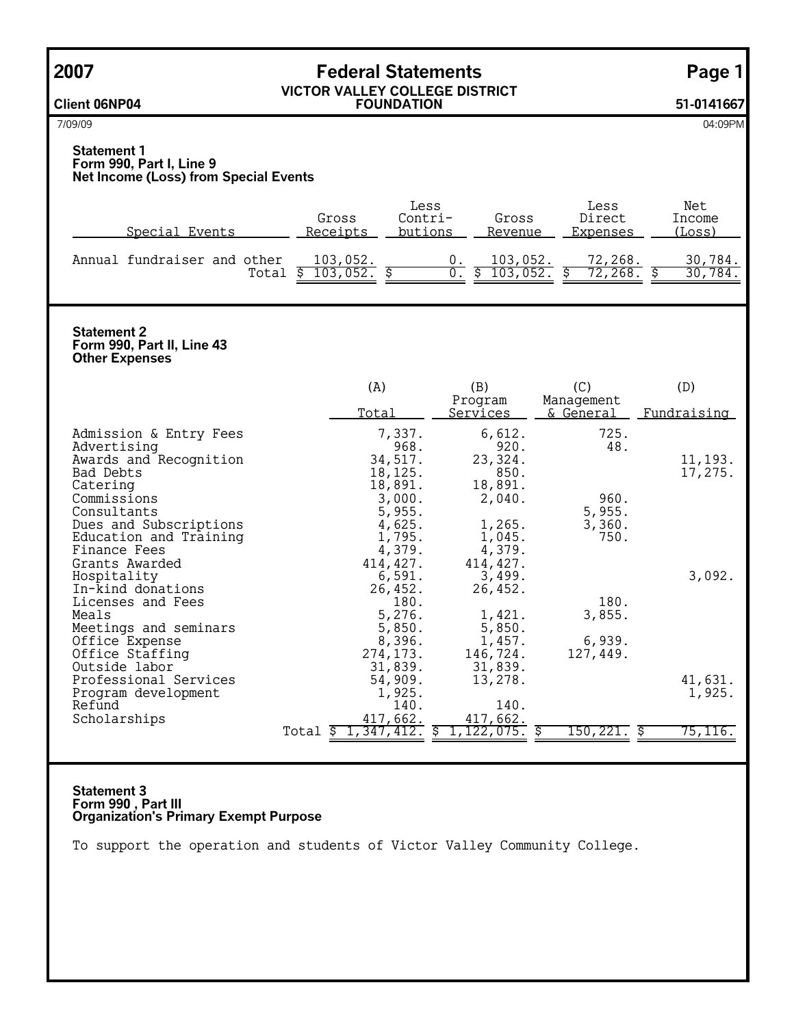|--|--|--|

# **2007 Federal Statements Page 1**

**Client 06NP04**

### **VICTOR VALLEY COLLEGE DISTRICT FOUNDATION 51-0141667**

7/09/09 04:09PM

## **Statement 1 Form 990, Part I, Line 9 Net Income (Loss) from Special Events**

| Special Events                       | Gross<br>Receipts | Less<br>$Contri$ -<br>butions | Gross<br>Revenue | Less<br>Direct<br>Expenses | Net<br>Income<br>(Loss) |
|--------------------------------------|-------------------|-------------------------------|------------------|----------------------------|-------------------------|
| Annual fundraiser and other<br>Total | 103,052.<br>052.  |                               | 103,052.<br>052. | 72,268.<br>268.            | .784.<br>30.<br>784.    |

## **Statement 2 Form 990, Part II, Line 43 Other Expenses**

|                        | (A)                    | (B)                        | (C)                                | (D)         |
|------------------------|------------------------|----------------------------|------------------------------------|-------------|
|                        | Total                  | Program<br><u>Services</u> | Management<br><u>&amp; General</u> | Fundraising |
| Admission & Entry Fees | 7,337.                 | 6,612.                     | 725.                               |             |
| Advertising            | 968.                   | 920.                       | 48.                                |             |
| Awards and Recognition | 34,517.                | 23,324.                    |                                    | 11,193.     |
| Bad Debts              | 18,125.                | 850.                       |                                    | 17,275.     |
| Catering               | 18,891.                | 18,891.                    |                                    |             |
| Commissions            | 3,000.                 | 2,040.                     | 960.                               |             |
| Consultants            | 5,955.                 |                            | 5,955.                             |             |
| Dues and Subscriptions | 4,625.                 | 1,265.                     | 3,360.                             |             |
| Education and Training | 1,795.                 | 1,045.                     | 750.                               |             |
| Finance Fees           | 4,379.                 | 4,379.                     |                                    |             |
| Grants Awarded         | 414,427.               | 414, 427.                  |                                    |             |
| Hospitality            | 6,591.                 | 3,499.                     |                                    | 3,092.      |
| In-kind donations      | 26,452.                | 26,452.                    |                                    |             |
| Licenses and Fees      | 180.                   |                            | 180.                               |             |
| Meals                  | 5,276.                 | 1,421.                     | 3,855.                             |             |
| Meetings and seminars  | 5,850.                 | 5,850.                     |                                    |             |
| Office Expense         | 8,396.                 | 1,457.                     | 6,939.                             |             |
| Office Staffing        | 274, 173.              | 146,724.                   | 127,449.                           |             |
| Outside labor          | 31,839.                | 31,839.                    |                                    |             |
| Professional Services  | 54,909.                | 13,278.                    |                                    | 41,631.     |
| Program development    | 1,925.                 |                            |                                    | 1,925.      |
| Refund                 | 140.                   | 140.                       |                                    |             |
| Scholarships           | 417,662.               | 417,662.                   |                                    |             |
|                        | 1,347,412.<br>Total \$ | 1, 122, 075.               | 150,221.                           | 75,116.     |

## **Statement 3 Form 990 , Part III Organization's Primary Exempt Purpose**

To support the operation and students of Victor Valley Community College.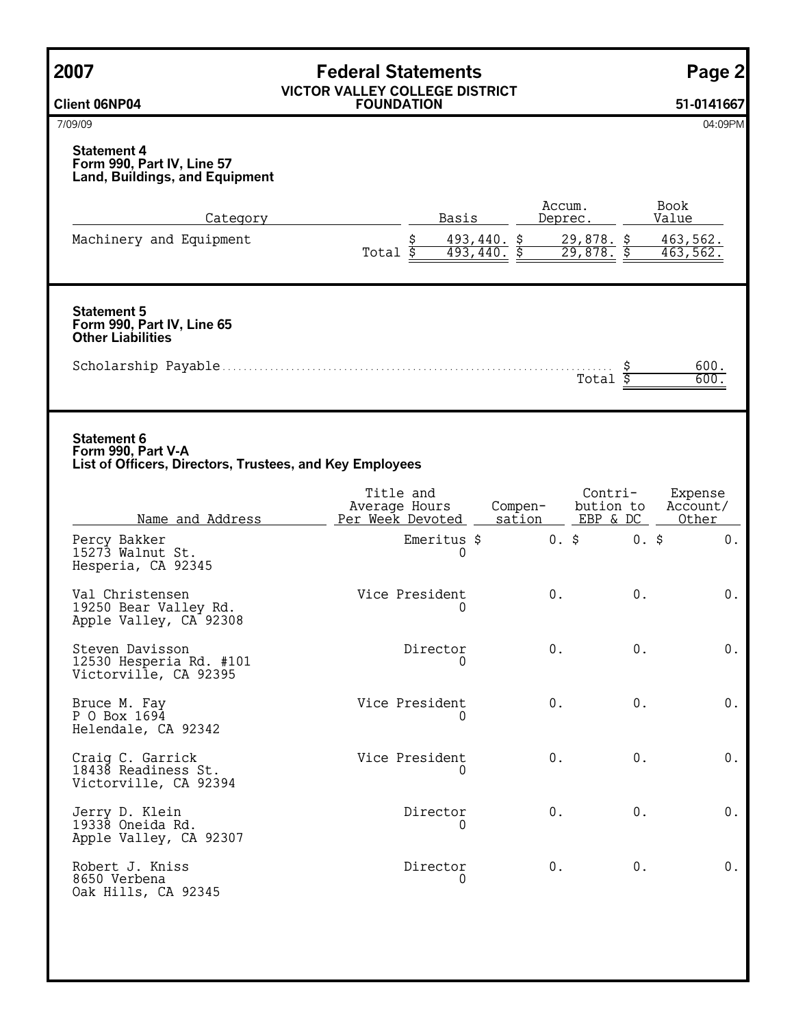| 2007                                                                                                 | <b>Federal Statements</b><br><b>VICTOR VALLEY COLLEGE DISTRICT</b><br><b>FOUNDATION</b> |                              |                              | Page 2                |
|------------------------------------------------------------------------------------------------------|-----------------------------------------------------------------------------------------|------------------------------|------------------------------|-----------------------|
| <b>Client 06NP04</b>                                                                                 |                                                                                         |                              |                              | 51-0141667            |
| 7/09/09                                                                                              |                                                                                         |                              |                              | 04:09PM               |
| <b>Statement 4</b><br>Form 990, Part IV, Line 57<br><b>Land, Buildings, and Equipment</b>            |                                                                                         |                              |                              |                       |
| <u>Category</u>                                                                                      | Basis                                                                                   | Accum.                       | Deprec.                      | Book<br>Value         |
| Machinery and Equipment                                                                              | \$<br>Total $\overline{\$}$                                                             | 493,440. \$<br>$493,440.$ \$ | $29,878.$ \$<br>$29,878.$ \$ | 463, 562.<br>463,562. |
| <b>Statement 5</b><br>Form 990, Part IV, Line 65<br><b>Other Liabilities</b>                         |                                                                                         |                              |                              |                       |
|                                                                                                      |                                                                                         |                              | Total                        | 600.<br>600           |
| <b>Statement 6</b><br>Form 990, Part V-A<br>List of Officers, Directors, Trustees, and Key Employees | Title and                                                                               |                              | Contri-                      | Expense               |
| Name and Address                                                                                     | Average Hours<br>Per Week Devoted                                                       | Compen-<br>sation            | bution to<br>EBP & DC        | Account/<br>Other     |
| Percy Bakker<br>15273 Walnut St.<br>Hesperia, CA 92345                                               | Emeritus \$<br>0                                                                        | $0.$ \$                      | $0.$ \$                      | $0$ .                 |
| Val Christensen<br>19250 Bear Valley Rd.<br>Apple Valley, CA 92308                                   | Vice President<br>0                                                                     | 0.                           | $0$ .                        | $0$ .                 |
| Steven Davisson<br>12530 Hesperia Rd. #101<br>Victorville, CA 92395                                  | Director<br>0                                                                           | $\boldsymbol{0}$ .           | 0.                           | $0$ .                 |
| Bruce M. Fay<br>P O Box 1694<br>Helendale, CA 92342                                                  | Vice President<br>0                                                                     | 0.                           | 0.                           | $0$ .                 |
| Craig C. Garrick<br>18438 Readiness St.<br>Victorville, CA 92394                                     | Vice President<br>$\Omega$                                                              | 0.                           | 0.                           | $0$ .                 |
| Jerry D. Klein<br>19338 Oneida Rd.<br>Apple Valley, CA 92307                                         | Director<br>0                                                                           | 0.                           | 0.                           | $0$ .                 |
| Robert J. Kniss<br>8650 Verbena<br>Oak Hills, CA 92345                                               | Director<br>$\Omega$                                                                    | 0.                           | $\boldsymbol{0}$ .           | $0$ .                 |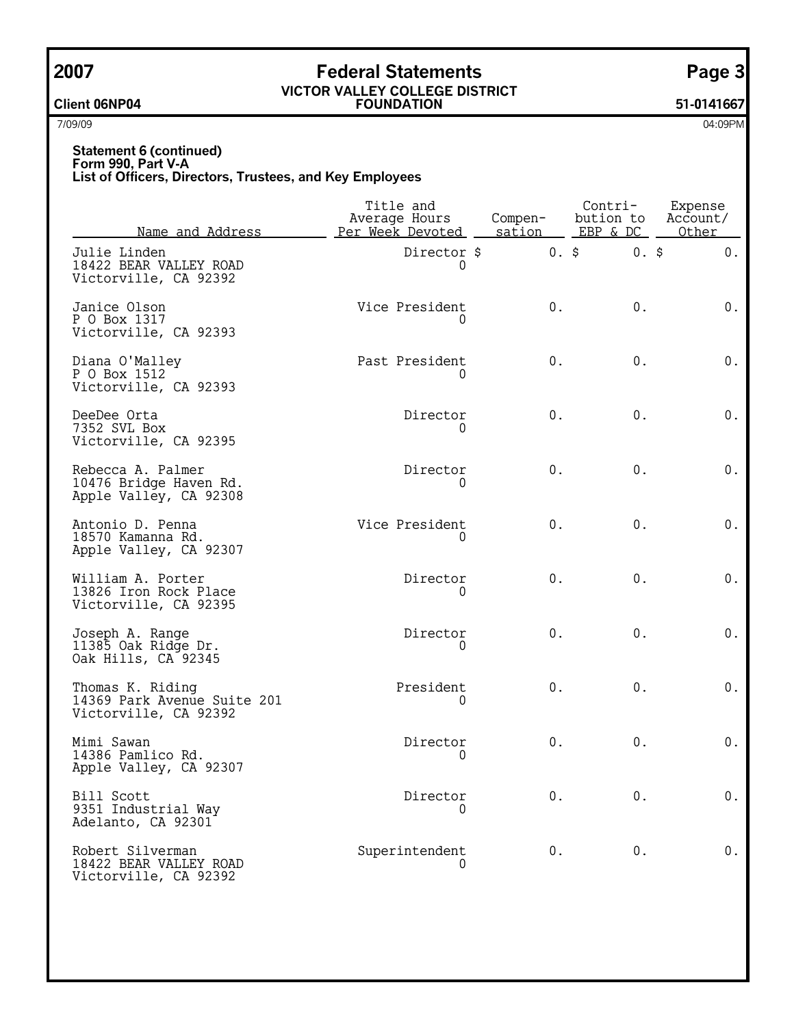## **2007 Federal Statements Page 3**

### **VICTOR VALLEY COLLEGE DISTRICT Client 06NP04 FOUNDATION 51-0141667**

7/09/09 04:09PM

## **Statement 6 (continued) Form 990, Part V-A List of Officers, Directors, Trustees, and Key Employees**

| Name and Address                                                         | Title and<br>Average Hours<br>Per Week Devoted | Compen-<br>sation | Contri-<br>bution to<br>EBP & DC | Expense<br>Account/<br>Other |
|--------------------------------------------------------------------------|------------------------------------------------|-------------------|----------------------------------|------------------------------|
| Julie Linden<br>18422 BEAR VALLEY ROAD<br>Victorville, CA 92392          | Director \$<br>0                               | $0.$ \$           | $0.$ \$                          | $0$ .                        |
| Janice Olson<br>P 0 Box 1317<br>Victorville, CA 92393                    | Vice President                                 | $0$ .             | $0$ .                            | $0$ .                        |
| Diana O'Malley<br>P O Box 1512<br>Victorville, CA 92393                  | Past President<br>$\Omega$                     | $0$ .             | $0$ .                            | $0$ .                        |
| DeeDee Orta<br>7352 SVL Box<br>Victorville, CA 92395                     | Director<br>0                                  | $0$ .             | $0$ .                            | $0$ .                        |
| Rebecca A. Palmer<br>10476 Bridge Haven Rd.<br>Apple Valley, CA 92308    | Director<br>0                                  | $0$ .             | $0$ .                            | $0$ .                        |
| Antonio D. Penna<br>18570 Kamanna Rd.<br>Apple Valley, CA 92307          | Vice President                                 | $0$ .             | $0$ .                            | $0$ .                        |
| William A. Porter<br>13826 Iron Rock Place<br>Victorville, CA 92395      | Director<br>0                                  | $0$ .             | $0$ .                            | $0$ .                        |
| Joseph A. Range<br>11385 Oak Ridge Dr.<br>Oak Hills, CA 92345            | Director<br>0                                  | $0$ .             | $0$ .                            | $0$ .                        |
| Thomas K. Riding<br>14369 Park Avenue Suite 201<br>Victorville, CA 92392 | President<br>$\Omega$                          | $0$ .             | $0$ .                            | $0$ .                        |
| Mimi Sawan<br>14386 Pamlico Rd.<br>Apple Valley, CA 92307                | Director<br>0                                  | $0$ .             | $0$ .                            | $0$ .                        |
| Bill Scott<br>9351 Industrial Way<br>Adelanto, CA 92301                  | Director                                       | $0$ .             | 0.                               | $0$ .                        |
| Robert Silverman<br>18422 BEAR VALLEY ROAD<br>Victorville, CA 92392      | Superintendent<br>0                            | $0$ .             | $0$ .                            | $0$ .                        |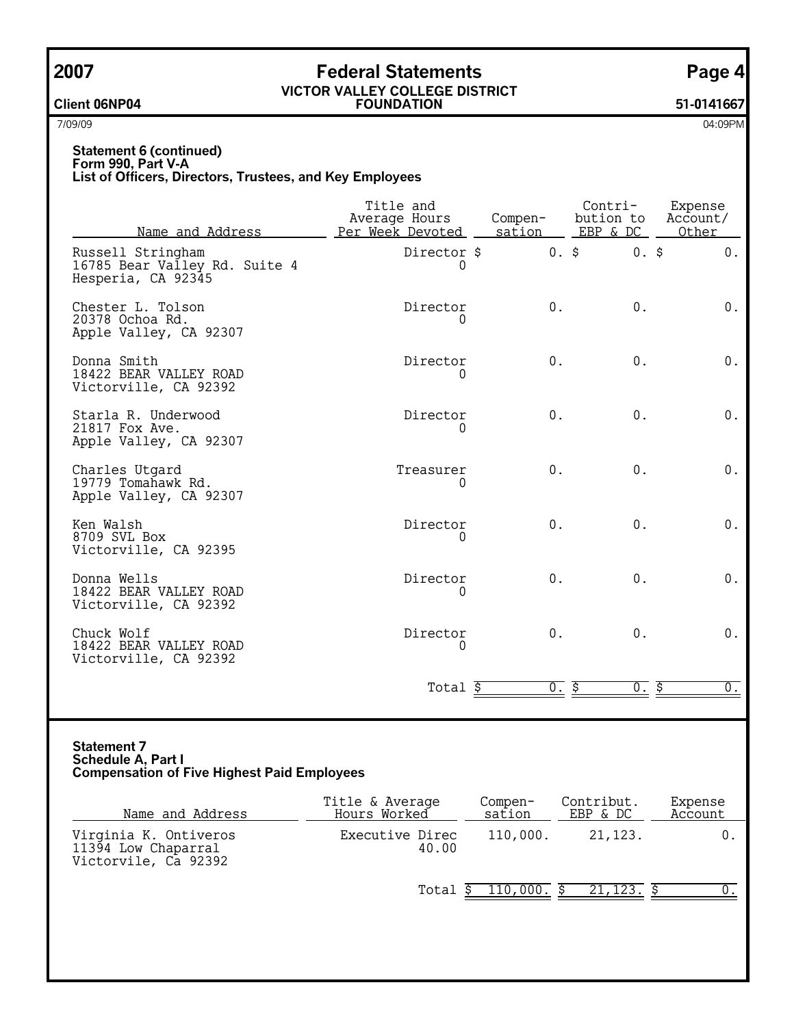## **2007 Federal Statements Page 4**

## **VICTOR VALLEY COLLEGE DISTRICT Client 06NP04 FOUNDATION 51-0141667**

7/09/09 04:09PM

## **Statement 6 (continued) Form 990, Part V-A List of Officers, Directors, Trustees, and Key Employees**

| Name and Address                                                         | Title and<br>Average Hours<br>Per Week Devoted | Compen-<br>sation | Contri-<br>bution to<br>EBP & DC | Expense<br>Account/<br>Other |
|--------------------------------------------------------------------------|------------------------------------------------|-------------------|----------------------------------|------------------------------|
| Russell Stringham<br>16785 Bear Valley Rd. Suite 4<br>Hesperia, CA 92345 | Director \$<br>0                               | $0.$ \$           | $0.$ \$                          | 0.                           |
| Chester L. Tolson<br>20378 Ochoa Rd.<br>Apple Valley, CA 92307           | Director<br>0                                  | 0.                | 0.                               | $0$ .                        |
| Donna Smith<br>18422 BEAR VALLEY ROAD<br>Victorville, CA 92392           | Director                                       | 0.                | $0$ .                            | $0$ .                        |
| Starla R. Underwood<br>21817 Fox Ave.<br>Apple Valley, CA 92307          | Director<br>0                                  | 0.                | 0.                               | $0$ .                        |
| Charles Utgard<br>19779 Tomahawk Rd.<br>Apple Valley, CA 92307           | Treasurer<br>0                                 | 0.                | 0.                               | $0$ .                        |
| Ken Walsh<br>8709 SVL Box<br>Victorville, CA 92395                       | Director<br>$\Omega$                           | 0.                | 0.                               | $0$ .                        |
| Donna Wells<br>18422 BEAR VALLEY ROAD<br>Victorville, CA 92392           | Director<br>0                                  | $0$ .             | $0$ .                            | $0$ .                        |
| Chuck Wolf<br>18422 BEAR VALLEY ROAD<br>Victorville, CA 92392            | Director<br>0                                  | $0$ .             | 0.                               | $0$ .                        |
|                                                                          | Total \$                                       | 0.5               | $\overline{0}$ .                 | ड़<br>$0$ .                  |

## **Statement 7 Schedule A, Part I Compensation of Five Highest Paid Employees**

| Name and Address                                                     | Title & Average<br>Hours Worked | Compen-<br>sation | Contribut.<br>EBP & DC | Expense<br>Account |
|----------------------------------------------------------------------|---------------------------------|-------------------|------------------------|--------------------|
| Virginia K. Ontiveros<br>11394 Low Chaparral<br>Victorvile, Ca 92392 | Executive Direc<br>40.00        | 110,000.          | 21,123.                |                    |
|                                                                      | Total                           | 110,000.          | 21, 123.               |                    |